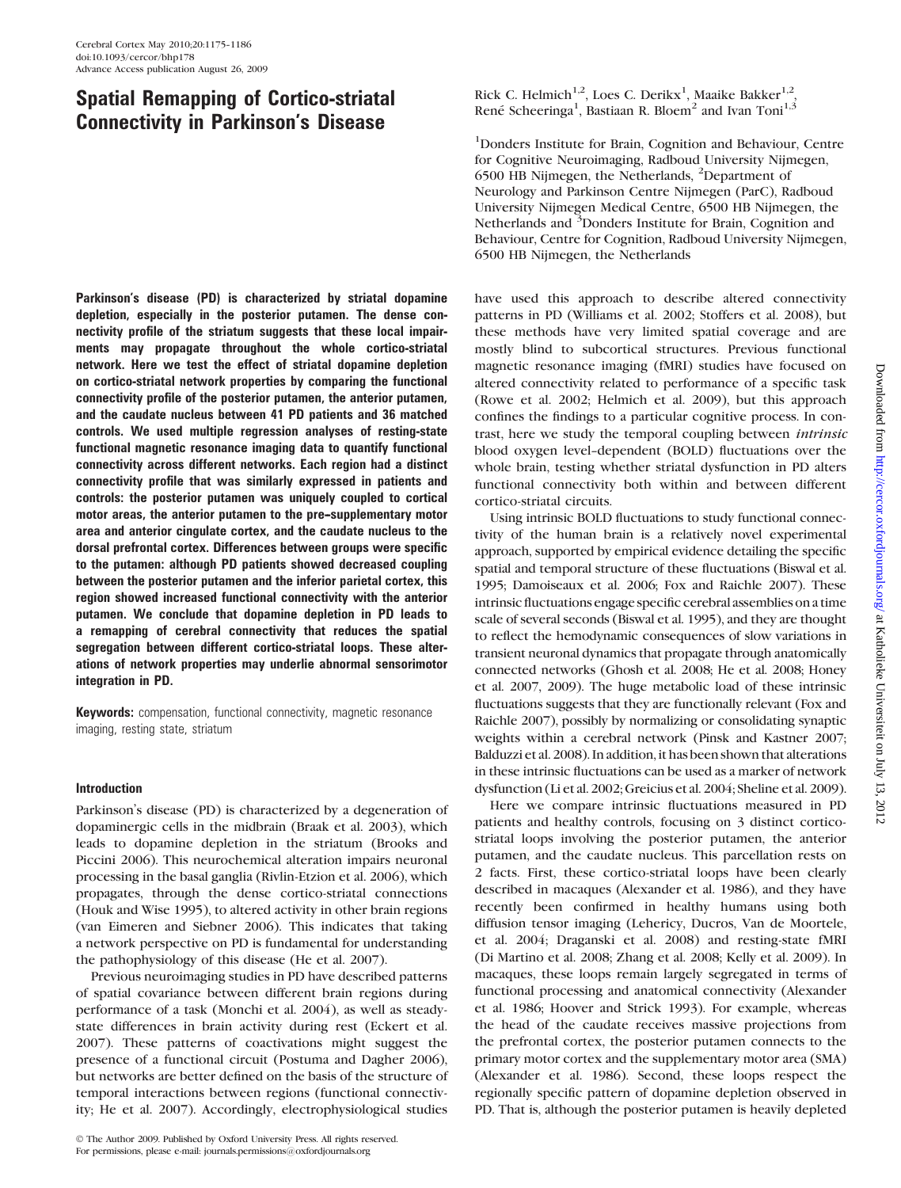# Spatial Remapping of Cortico-striatal Connectivity in Parkinson's Disease

Parkinson's disease (PD) is characterized by striatal dopamine depletion, especially in the posterior putamen. The dense connectivity profile of the striatum suggests that these local impairments may propagate throughout the whole cortico-striatal network. Here we test the effect of striatal dopamine depletion on cortico-striatal network properties by comparing the functional connectivity profile of the posterior putamen, the anterior putamen, and the caudate nucleus between 41 PD patients and 36 matched controls. We used multiple regression analyses of resting-state functional magnetic resonance imaging data to quantify functional connectivity across different networks. Each region had a distinct connectivity profile that was similarly expressed in patients and controls: the posterior putamen was uniquely coupled to cortical motor areas, the anterior putamen to the pre-supplementary motor area and anterior cingulate cortex, and the caudate nucleus to the dorsal prefrontal cortex. Differences between groups were specific to the putamen: although PD patients showed decreased coupling between the posterior putamen and the inferior parietal cortex, this region showed increased functional connectivity with the anterior putamen. We conclude that dopamine depletion in PD leads to a remapping of cerebral connectivity that reduces the spatial segregation between different cortico-striatal loops. These alterations of network properties may underlie abnormal sensorimotor integration in PD.

**Keywords:** compensation, functional connectivity, magnetic resonance imaging, resting state, striatum

# Introduction

Parkinson's disease (PD) is characterized by a degeneration of dopaminergic cells in the midbrain (Braak et al. 2003), which leads to dopamine depletion in the striatum (Brooks and Piccini 2006). This neurochemical alteration impairs neuronal processing in the basal ganglia (Rivlin-Etzion et al. 2006), which propagates, through the dense cortico-striatal connections (Houk and Wise 1995), to altered activity in other brain regions (van Eimeren and Siebner 2006). This indicates that taking a network perspective on PD is fundamental for understanding the pathophysiology of this disease (He et al. 2007).

Previous neuroimaging studies in PD have described patterns of spatial covariance between different brain regions during performance of a task (Monchi et al. 2004), as well as steadystate differences in brain activity during rest (Eckert et al. 2007). These patterns of coactivations might suggest the presence of a functional circuit (Postuma and Dagher 2006), but networks are better defined on the basis of the structure of temporal interactions between regions (functional connectivity; He et al. 2007). Accordingly, electrophysiological studies

Rick C. Helmich<sup>1,2</sup>, Loes C. Derikx<sup>1</sup>, Maaike Bakker<sup>1,2</sup>, René Scheeringa<sup>1</sup>, Bastiaan R. Bloem<sup>2</sup> and Ivan Toni<sup>1,3</sup>

<sup>1</sup>Donders Institute for Brain, Cognition and Behaviour, Centre for Cognitive Neuroimaging, Radboud University Nijmegen, 6500 HB Nijmegen, the Netherlands, <sup>2</sup> Department of Neurology and Parkinson Centre Nijmegen (ParC), Radboud University Nijmegen Medical Centre, 6500 HB Nijmegen, the Netherlands and <sup>3</sup>Donders Institute for Brain, Cognition and Behaviour, Centre for Cognition, Radboud University Nijmegen, 6500 HB Nijmegen, the Netherlands

have used this approach to describe altered connectivity patterns in PD (Williams et al. 2002; Stoffers et al. 2008), but these methods have very limited spatial coverage and are mostly blind to subcortical structures. Previous functional magnetic resonance imaging (fMRI) studies have focused on altered connectivity related to performance of a specific task (Rowe et al. 2002; Helmich et al. 2009), but this approach confines the findings to a particular cognitive process. In contrast, here we study the temporal coupling between intrinsic blood oxygen level--dependent (BOLD) fluctuations over the whole brain, testing whether striatal dysfunction in PD alters functional connectivity both within and between different cortico-striatal circuits.

Using intrinsic BOLD fluctuations to study functional connectivity of the human brain is a relatively novel experimental approach, supported by empirical evidence detailing the specific spatial and temporal structure of these fluctuations (Biswal et al. 1995; Damoiseaux et al. 2006; Fox and Raichle 2007). These intrinsic fluctuations engage specific cerebral assemblies on a time scale of several seconds (Biswal et al. 1995), and they are thought to reflect the hemodynamic consequences of slow variations in transient neuronal dynamics that propagate through anatomically connected networks (Ghosh et al. 2008; He et al. 2008; Honey et al. 2007, 2009). The huge metabolic load of these intrinsic fluctuations suggests that they are functionally relevant (Fox and Raichle 2007), possibly by normalizing or consolidating synaptic weights within a cerebral network (Pinsk and Kastner 2007; Balduzzi et al. 2008). In addition, it has been shown that alterations in these intrinsic fluctuations can be used as a marker of network dysfunction (Li et al. 2002; Greicius et al. 2004; Sheline et al. 2009).

Here we compare intrinsic fluctuations measured in PD patients and healthy controls, focusing on 3 distinct corticostriatal loops involving the posterior putamen, the anterior putamen, and the caudate nucleus. This parcellation rests on 2 facts. First, these cortico-striatal loops have been clearly described in macaques (Alexander et al. 1986), and they have recently been confirmed in healthy humans using both diffusion tensor imaging (Lehericy, Ducros, Van de Moortele, et al. 2004; Draganski et al. 2008) and resting-state fMRI (Di Martino et al. 2008; Zhang et al. 2008; Kelly et al. 2009). In macaques, these loops remain largely segregated in terms of functional processing and anatomical connectivity (Alexander et al. 1986; Hoover and Strick 1993). For example, whereas the head of the caudate receives massive projections from the prefrontal cortex, the posterior putamen connects to the primary motor cortex and the supplementary motor area (SMA) (Alexander et al. 1986). Second, these loops respect the regionally specific pattern of dopamine depletion observed in PD. That is, although the posterior putamen is heavily depleted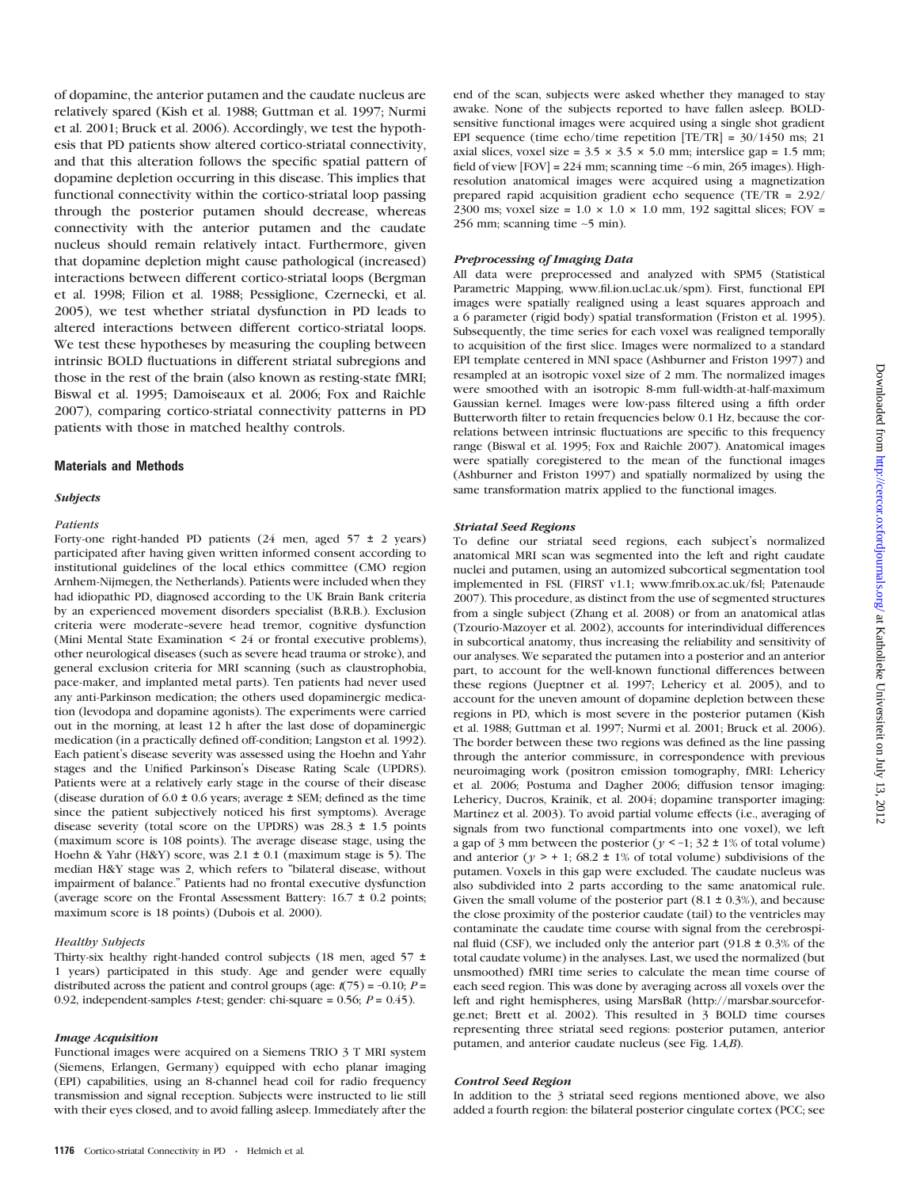of dopamine, the anterior putamen and the caudate nucleus are relatively spared (Kish et al. 1988; Guttman et al. 1997; Nurmi et al. 2001; Bruck et al. 2006). Accordingly, we test the hypothesis that PD patients show altered cortico-striatal connectivity, and that this alteration follows the specific spatial pattern of dopamine depletion occurring in this disease. This implies that functional connectivity within the cortico-striatal loop passing through the posterior putamen should decrease, whereas connectivity with the anterior putamen and the caudate nucleus should remain relatively intact. Furthermore, given that dopamine depletion might cause pathological (increased) interactions between different cortico-striatal loops (Bergman et al. 1998; Filion et al. 1988; Pessiglione, Czernecki, et al. 2005), we test whether striatal dysfunction in PD leads to altered interactions between different cortico-striatal loops. We test these hypotheses by measuring the coupling between intrinsic BOLD fluctuations in different striatal subregions and those in the rest of the brain (also known as resting-state fMRI; Biswal et al. 1995; Damoiseaux et al. 2006; Fox and Raichle 2007), comparing cortico-striatal connectivity patterns in PD patients with those in matched healthy controls.

#### Materials and Methods

# Subjects

# Patients

Forty-one right-handed PD patients (24 men, aged  $57 \pm 2$  years) participated after having given written informed consent according to institutional guidelines of the local ethics committee (CMO region Arnhem-Nijmegen, the Netherlands). Patients were included when they had idiopathic PD, diagnosed according to the UK Brain Bank criteria by an experienced movement disorders specialist (B.R.B.). Exclusion criteria were moderate-severe head tremor, cognitive dysfunction (Mini Mental State Examination < 24 or frontal executive problems), other neurological diseases (such as severe head trauma or stroke), and general exclusion criteria for MRI scanning (such as claustrophobia, pace-maker, and implanted metal parts). Ten patients had never used any anti-Parkinson medication; the others used dopaminergic medication (levodopa and dopamine agonists). The experiments were carried out in the morning, at least 12 h after the last dose of dopaminergic medication (in a practically defined off-condition; Langston et al. 1992). Each patient's disease severity was assessed using the Hoehn and Yahr stages and the Unified Parkinson's Disease Rating Scale (UPDRS). Patients were at a relatively early stage in the course of their disease (disease duration of 6.0  $\pm$  0.6 years; average  $\pm$  SEM; defined as the time since the patient subjectively noticed his first symptoms). Average disease severity (total score on the UPDRS) was  $28.3 \pm 1.5$  points (maximum score is 108 points). The average disease stage, using the Hoehn & Yahr (H&Y) score, was  $2.1 \pm 0.1$  (maximum stage is 5). The median H&Y stage was 2, which refers to ''bilateral disease, without impairment of balance.'' Patients had no frontal executive dysfunction (average score on the Frontal Assessment Battery: 16.7 ± 0.2 points; maximum score is 18 points) (Dubois et al. 2000).

## Healthy Subjects

Thirty-six healthy right-handed control subjects (18 men, aged 57  $\pm$ 1 years) participated in this study. Age and gender were equally distributed across the patient and control groups (age:  $t(75) = -0.10$ ;  $P =$ 0.92, independent-samples *t*-test; gender: chi-square = 0.56;  $P = 0.45$ ).

#### Image Acquisition

Functional images were acquired on a Siemens TRIO 3 T MRI system (Siemens, Erlangen, Germany) equipped with echo planar imaging (EPI) capabilities, using an 8-channel head coil for radio frequency transmission and signal reception. Subjects were instructed to lie still with their eyes closed, and to avoid falling asleep. Immediately after the end of the scan, subjects were asked whether they managed to stay awake. None of the subjects reported to have fallen asleep. BOLDsensitive functional images were acquired using a single shot gradient EPI sequence (time echo/time repetition  $[TE/TR] = 30/1450$  ms; 21 axial slices, voxel size =  $3.5 \times 3.5 \times 5.0$  mm; interslice gap = 1.5 mm; field of view  $[FOV] = 224$  mm; scanning time  $\sim$ 6 min, 265 images). Highresolution anatomical images were acquired using a magnetization prepared rapid acquisition gradient echo sequence (TE/TR = 2.92/ 2300 ms; voxel size =  $1.0 \times 1.0 \times 1.0$  mm, 192 sagittal slices; FOV = 256 mm; scanning time ~5 min).

#### Preprocessing of Imaging Data

All data were preprocessed and analyzed with SPM5 (Statistical Parametric Mapping, [www.fil.ion.ucl.ac.uk/spm\)](www.fil.ion.ucl.ac.uk/spm). First, functional EPI images were spatially realigned using a least squares approach and a 6 parameter (rigid body) spatial transformation (Friston et al. 1995). Subsequently, the time series for each voxel was realigned temporally to acquisition of the first slice. Images were normalized to a standard EPI template centered in MNI space (Ashburner and Friston 1997) and resampled at an isotropic voxel size of 2 mm. The normalized images were smoothed with an isotropic 8-mm full-width-at-half-maximum Gaussian kernel. Images were low-pass filtered using a fifth order Butterworth filter to retain frequencies below 0.1 Hz, because the correlations between intrinsic fluctuations are specific to this frequency range (Biswal et al. 1995; Fox and Raichle 2007). Anatomical images were spatially coregistered to the mean of the functional images (Ashburner and Friston 1997) and spatially normalized by using the same transformation matrix applied to the functional images.

#### Striatal Seed Regions

To define our striatal seed regions, each subject's normalized anatomical MRI scan was segmented into the left and right caudate nuclei and putamen, using an automized subcortical segmentation tool implemented in FSL (FIRST v1.1; [www.fmrib.ox.ac.uk/fsl;](www.fmrib.ox.ac.uk/fsl) Patenaude 2007). This procedure, as distinct from the use of segmented structures from a single subject (Zhang et al. 2008) or from an anatomical atlas (Tzourio-Mazoyer et al. 2002), accounts for interindividual differences in subcortical anatomy, thus increasing the reliability and sensitivity of our analyses. We separated the putamen into a posterior and an anterior part, to account for the well-known functional differences between these regions (Jueptner et al. 1997; Lehericy et al. 2005), and to account for the uneven amount of dopamine depletion between these regions in PD, which is most severe in the posterior putamen (Kish et al. 1988; Guttman et al. 1997; Nurmi et al. 2001; Bruck et al. 2006). The border between these two regions was defined as the line passing through the anterior commissure, in correspondence with previous neuroimaging work (positron emission tomography, fMRI: Lehericy et al. 2006; Postuma and Dagher 2006; diffusion tensor imaging: Lehericy, Ducros, Krainik, et al. 2004; dopamine transporter imaging: Martinez et al. 2003). To avoid partial volume effects (i.e., averaging of signals from two functional compartments into one voxel), we left a gap of 3 mm between the posterior ( $y < -1$ ; 32  $\pm$  1% of total volume) and anterior ( $y > +1$ ; 68.2 ± 1% of total volume) subdivisions of the putamen. Voxels in this gap were excluded. The caudate nucleus was also subdivided into 2 parts according to the same anatomical rule. Given the small volume of the posterior part  $(8.1 \pm 0.3\%)$ , and because the close proximity of the posterior caudate (tail) to the ventricles may contaminate the caudate time course with signal from the cerebrospinal fluid (CSF), we included only the anterior part (91.8  $\pm$  0.3% of the total caudate volume) in the analyses. Last, we used the normalized (but unsmoothed) fMRI time series to calculate the mean time course of each seed region. This was done by averaging across all voxels over the left and right hemispheres, using MarsBaR [\(http://marsbar.sourcefor](http://marsbar.sourceforge.net)[ge.net;](http://marsbar.sourceforge.net) Brett et al. 2002). This resulted in 3 BOLD time courses representing three striatal seed regions: posterior putamen, anterior putamen, and anterior caudate nucleus (see Fig. 1A,B).

## Control Seed Region

In addition to the 3 striatal seed regions mentioned above, we also added a fourth region: the bilateral posterior cingulate cortex (PCC; see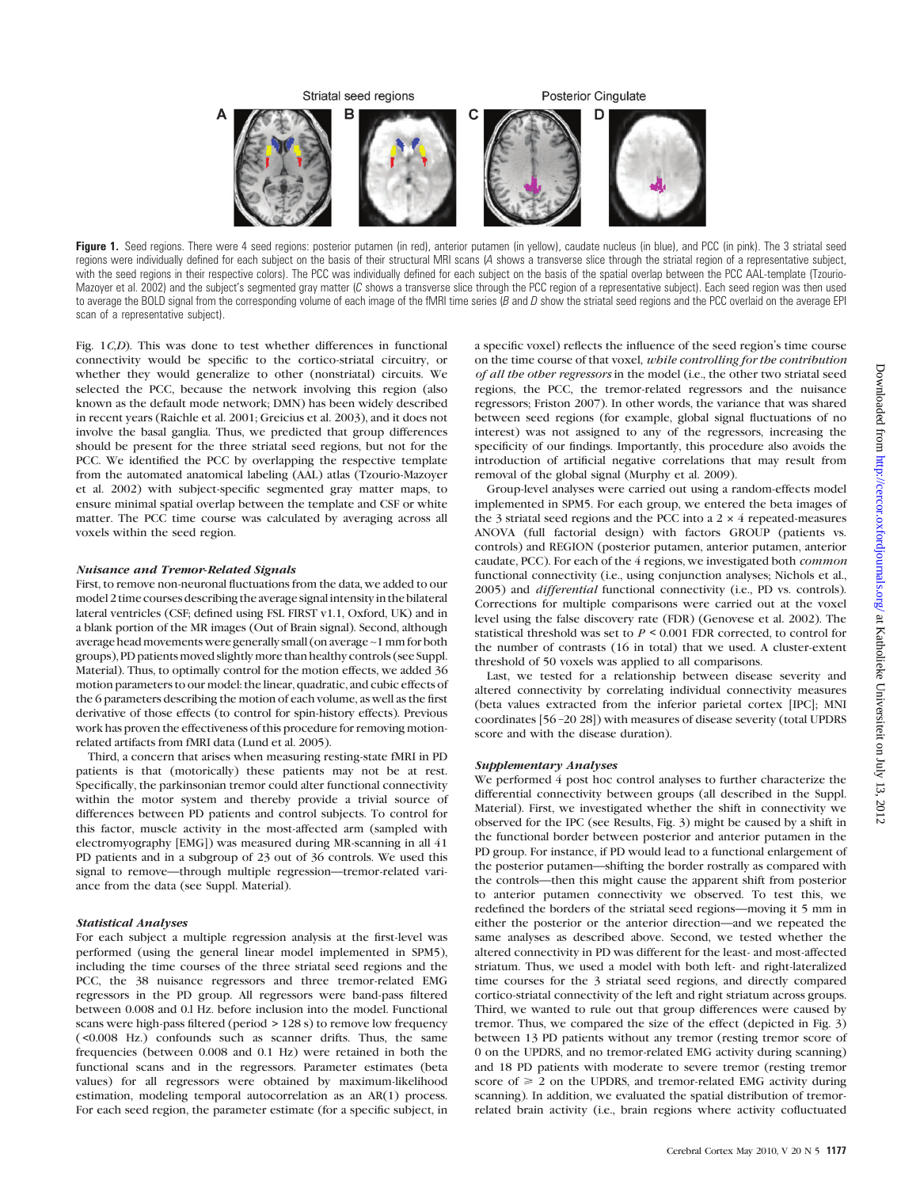

Figure 1. Seed regions. There were 4 seed regions: posterior putamen (in red), anterior putamen (in yellow), caudate nucleus (in blue), and PCC (in pink). The 3 striatal seed regions were individually defined for each subject on the basis of their structural MRI scans (A shows a transverse slice through the striatal region of a representative subject, with the seed regions in their respective colors). The PCC was individually defined for each subject on the basis of the spatial overlap between the PCC AAL-template (Tzourio-Mazoyer et al. 2002) and the subject's segmented gray matter (C shows a transverse slice through the PCC region of a representative subject). Each seed region was then used to average the BOLD signal from the corresponding volume of each image of the fMRI time series  $(B \text{ and } D \text{ show the striatal seed regions and the PCC overlaid on the average EPI)$ scan of a representative subject).

Fig. 1C,D). This was done to test whether differences in functional connectivity would be specific to the cortico-striatal circuitry, or whether they would generalize to other (nonstriatal) circuits. We selected the PCC, because the network involving this region (also known as the default mode network; DMN) has been widely described in recent years (Raichle et al. 2001; Greicius et al. 2003), and it does not involve the basal ganglia. Thus, we predicted that group differences should be present for the three striatal seed regions, but not for the PCC. We identified the PCC by overlapping the respective template from the automated anatomical labeling (AAL) atlas (Tzourio-Mazoyer et al. 2002) with subject-specific segmented gray matter maps, to ensure minimal spatial overlap between the template and CSF or white matter. The PCC time course was calculated by averaging across all voxels within the seed region.

## Nuisance and Tremor-Related Signals

First, to remove non-neuronal fluctuations from the data, we added to our model 2 time courses describing the average signal intensity in the bilateral lateral ventricles (CSF; defined using FSL FIRST v1.1, Oxford, UK) and in a blank portion of the MR images (Out of Brain signal). Second, although average head movements were generally small (on average ~1 mm for both groups), PD patients moved slightly more than healthy controls (see Suppl. Material). Thus, to optimally control for the motion effects, we added 36 motion parameters to our model: the linear, quadratic, and cubic effects of the 6 parameters describing the motion of each volume, as well as the first derivative of those effects (to control for spin-history effects). Previous work has proven the effectiveness of this procedure for removing motionrelated artifacts from fMRI data (Lund et al. 2005).

Third, a concern that arises when measuring resting-state fMRI in PD patients is that (motorically) these patients may not be at rest. Specifically, the parkinsonian tremor could alter functional connectivity within the motor system and thereby provide a trivial source of differences between PD patients and control subjects. To control for this factor, muscle activity in the most-affected arm (sampled with electromyography [EMG]) was measured during MR-scanning in all 41 PD patients and in a subgroup of 23 out of 36 controls. We used this signal to remove—through multiple regression—tremor-related variance from the data (see Suppl. Material).

# Statistical Analyses

For each subject a multiple regression analysis at the first-level was performed (using the general linear model implemented in SPM5), including the time courses of the three striatal seed regions and the PCC, the 38 nuisance regressors and three tremor-related EMG regressors in the PD group. All regressors were band-pass filtered between 0.008 and 0.l Hz. before inclusion into the model. Functional scans were high-pass filtered (period > 128 s) to remove low frequency ( <0.008 Hz.) confounds such as scanner drifts. Thus, the same frequencies (between 0.008 and 0.1 Hz) were retained in both the functional scans and in the regressors. Parameter estimates (beta values) for all regressors were obtained by maximum-likelihood estimation, modeling temporal autocorrelation as an AR(1) process. For each seed region, the parameter estimate (for a specific subject, in

a specific voxel) reflects the influence of the seed region's time course on the time course of that voxel, while controlling for the contribution of all the other regressors in the model (i.e., the other two striatal seed regions, the PCC, the tremor-related regressors and the nuisance regressors; Friston 2007). In other words, the variance that was shared between seed regions (for example, global signal fluctuations of no interest) was not assigned to any of the regressors, increasing the specificity of our findings. Importantly, this procedure also avoids the introduction of artificial negative correlations that may result from removal of the global signal (Murphy et al. 2009).

Group-level analyses were carried out using a random-effects model implemented in SPM5. For each group, we entered the beta images of the 3 striatal seed regions and the PCC into a  $2 \times 4$  repeated-measures ANOVA (full factorial design) with factors GROUP (patients vs. controls) and REGION (posterior putamen, anterior putamen, anterior caudate, PCC). For each of the 4 regions, we investigated both common functional connectivity (i.e., using conjunction analyses; Nichols et al., 2005) and differential functional connectivity (i.e., PD vs. controls). Corrections for multiple comparisons were carried out at the voxel level using the false discovery rate (FDR) (Genovese et al. 2002). The statistical threshold was set to  $P \leq 0.001$  FDR corrected, to control for the number of contrasts (16 in total) that we used. A cluster-extent threshold of 50 voxels was applied to all comparisons.

Last, we tested for a relationship between disease severity and altered connectivity by correlating individual connectivity measures (beta values extracted from the inferior parietal cortex [IPC]; MNI coordinates [56 –20 28]) with measures of disease severity (total UPDRS score and with the disease duration).

#### Supplementary Analyses

We performed 4 post hoc control analyses to further characterize the differential connectivity between groups (all described in the Suppl. Material). First, we investigated whether the shift in connectivity we observed for the IPC (see Results, Fig. 3) might be caused by a shift in the functional border between posterior and anterior putamen in the PD group. For instance, if PD would lead to a functional enlargement of the posterior putamen—shifting the border rostrally as compared with the controls—then this might cause the apparent shift from posterior to anterior putamen connectivity we observed. To test this, we redefined the borders of the striatal seed regions—moving it 5 mm in either the posterior or the anterior direction—and we repeated the same analyses as described above. Second, we tested whether the altered connectivity in PD was different for the least- and most-affected striatum. Thus, we used a model with both left- and right-lateralized time courses for the 3 striatal seed regions, and directly compared cortico-striatal connectivity of the left and right striatum across groups. Third, we wanted to rule out that group differences were caused by tremor. Thus, we compared the size of the effect (depicted in Fig. 3) between 13 PD patients without any tremor (resting tremor score of 0 on the UPDRS, and no tremor-related EMG activity during scanning) and 18 PD patients with moderate to severe tremor (resting tremor score of  $\geq 2$  on the UPDRS, and tremor-related EMG activity during scanning). In addition, we evaluated the spatial distribution of tremorrelated brain activity (i.e., brain regions where activity cofluctuated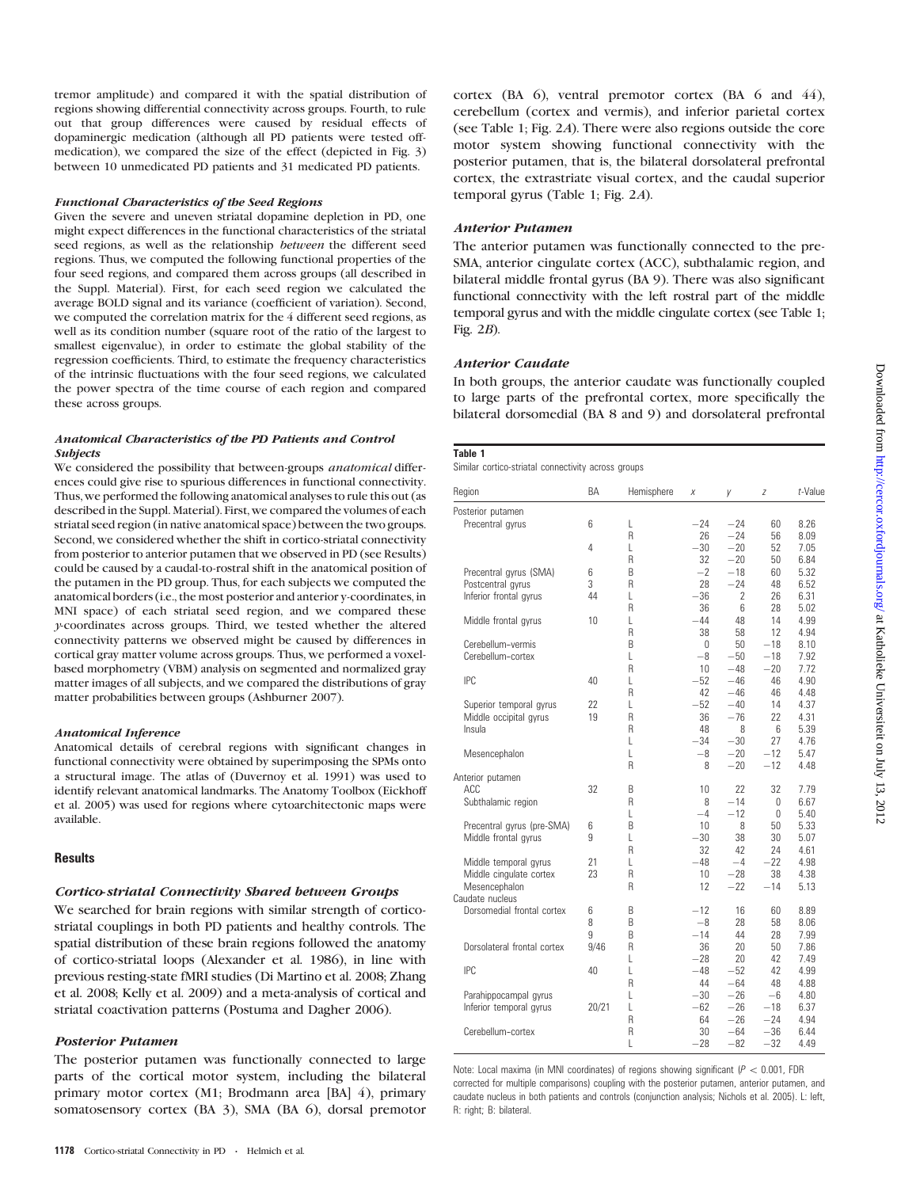tremor amplitude) and compared it with the spatial distribution of regions showing differential connectivity across groups. Fourth, to rule out that group differences were caused by residual effects of dopaminergic medication (although all PD patients were tested offmedication), we compared the size of the effect (depicted in Fig. 3) between 10 unmedicated PD patients and 31 medicated PD patients.

#### Functional Characteristics of the Seed Regions

Given the severe and uneven striatal dopamine depletion in PD, one might expect differences in the functional characteristics of the striatal seed regions, as well as the relationship between the different seed regions. Thus, we computed the following functional properties of the four seed regions, and compared them across groups (all described in the Suppl. Material). First, for each seed region we calculated the average BOLD signal and its variance (coefficient of variation). Second, we computed the correlation matrix for the 4 different seed regions, as well as its condition number (square root of the ratio of the largest to smallest eigenvalue), in order to estimate the global stability of the regression coefficients. Third, to estimate the frequency characteristics of the intrinsic fluctuations with the four seed regions, we calculated the power spectra of the time course of each region and compared these across groups.

#### Anatomical Characteristics of the PD Patients and Control Subjects

We considered the possibility that between-groups *anatomical* differences could give rise to spurious differences in functional connectivity. Thus, we performed the following anatomical analyses to rule this out (as described in the Suppl. Material). First, we compared the volumes of each striatal seed region (in native anatomical space) between the two groups. Second, we considered whether the shift in cortico-striatal connectivity from posterior to anterior putamen that we observed in PD (see Results) could be caused by a caudal-to-rostral shift in the anatomical position of the putamen in the PD group. Thus, for each subjects we computed the anatomical borders (i.e., the most posterior and anterior y-coordinates, in MNI space) of each striatal seed region, and we compared these y-coordinates across groups. Third, we tested whether the altered connectivity patterns we observed might be caused by differences in cortical gray matter volume across groups. Thus, we performed a voxelbased morphometry (VBM) analysis on segmented and normalized gray matter images of all subjects, and we compared the distributions of gray matter probabilities between groups (Ashburner 2007).

#### Anatomical Inference

Anatomical details of cerebral regions with significant changes in functional connectivity were obtained by superimposing the SPMs onto a structural image. The atlas of (Duvernoy et al. 1991) was used to identify relevant anatomical landmarks. The Anatomy Toolbox (Eickhoff et al. 2005) was used for regions where cytoarchitectonic maps were available.

#### **Results**

# Cortico-striatal Connectivity Shared between Groups

We searched for brain regions with similar strength of corticostriatal couplings in both PD patients and healthy controls. The spatial distribution of these brain regions followed the anatomy of cortico-striatal loops (Alexander et al. 1986), in line with previous resting-state fMRI studies (Di Martino et al. 2008; Zhang et al. 2008; Kelly et al. 2009) and a meta-analysis of cortical and striatal coactivation patterns (Postuma and Dagher 2006).

# Posterior Putamen

The posterior putamen was functionally connected to large parts of the cortical motor system, including the bilateral primary motor cortex (M1; Brodmann area [BA] 4), primary somatosensory cortex (BA 3), SMA (BA 6), dorsal premotor cortex (BA 6), ventral premotor cortex (BA 6 and 44), cerebellum (cortex and vermis), and inferior parietal cortex (see Table 1; Fig. 2A). There were also regions outside the core motor system showing functional connectivity with the posterior putamen, that is, the bilateral dorsolateral prefrontal cortex, the extrastriate visual cortex, and the caudal superior temporal gyrus (Table 1; Fig. 2A).

#### Anterior Putamen

The anterior putamen was functionally connected to the pre-SMA, anterior cingulate cortex (ACC), subthalamic region, and bilateral middle frontal gyrus (BA 9). There was also significant functional connectivity with the left rostral part of the middle temporal gyrus and with the middle cingulate cortex (see Table 1; Fig.  $2B$ ).

#### Anterior Caudate

In both groups, the anterior caudate was functionally coupled to large parts of the prefrontal cortex, more specifically the bilateral dorsomedial (BA 8 and 9) and dorsolateral prefrontal

| $\sim$<br>×<br>۰, |
|-------------------|
|-------------------|

Similar cortico-striatal connectivity across groups

| Region                           | BA    | Hemisphere | Χ              | У                        | Z           | t-Value      |
|----------------------------------|-------|------------|----------------|--------------------------|-------------|--------------|
| Posterior putamen                |       |            |                |                          |             |              |
| Precentral gyrus                 | 6     | L          | $-24$          | $-24$                    | 60          | 8.26         |
|                                  |       | R          | 26             | $-24$                    | 56          | 8.09         |
|                                  | 4     | L          | $-30$          | $-20$                    | 52          | 7.05         |
|                                  |       | R          | 32             | $-20$                    | 50          | 6.84         |
| Precentral gyrus (SMA)           | 6     | B          | $-2$           | $-18$                    | 60          | 5.32         |
| Postcentral gyrus                | 3     | R          | 28             | $-24$                    | 48          | 6.52         |
| Inferior frontal gyrus           | 44    | L          | $-36$          | $\overline{\phantom{a}}$ | 26          | 6.31         |
|                                  |       | R          | 36             | 6                        | 28          | 5.02         |
| Middle frontal gyrus             | 10    | L<br>R     | $-44$          | 48                       | 14          | 4.99         |
| Cerebellum-vermis                |       | B          | 38<br>$\Omega$ | 58<br>50                 | 12<br>$-18$ | 4.94<br>8.10 |
| Cerebellum-cortex                |       | L          | $-8$           | $-50$                    | $-18$       | 7.92         |
|                                  |       | R          | 10             | $-48$                    | $-20$       | 7.72         |
| IPC                              | 40    | L          | $-52$          | $-46$                    | 46          | 4.90         |
|                                  |       | R          | 42             | $-46$                    | 46          | 4.48         |
| Superior temporal gyrus          | 22    | L          | $-52$          | $-40$                    | 14          | 4.37         |
| Middle occipital gyrus           | 19    | R          | 36             | $-76$                    | 22          | 4.31         |
| Insula                           |       | R          | 48             | 8                        | 6           | 5.39         |
|                                  |       | L          | $-34$          | $-30$                    | 27          | 4.76         |
| Mesencephalon                    |       | L          | $-8$           | $-20$                    | $-12$       | 5.47         |
|                                  |       | R          | 8              | $-20$                    | $-12$       | 4.48         |
| Anterior putamen                 |       |            |                |                          |             |              |
| ACC                              | 32    | B          | 10             | 22                       | 32          | 7.79         |
| Subthalamic region               |       | R          | 8              | $-14$                    | 0           | 6.67         |
|                                  |       | L          | $-4$           | $-12$                    | $\Omega$    | 5.40         |
| Precentral gyrus (pre-SMA)       | 6     | B          | 10             | 8                        | 50          | 5.33         |
| Middle frontal gyrus             | 9     | L          | $-30$          | 38                       | 30          | 5.07         |
|                                  |       | R          | 32             | 42                       | 24          | 4.61         |
| Middle temporal gyrus            | 21    | L          | $-48$          | $-4$                     | $-22$       | 4.98         |
| Middle cingulate cortex          | 23    | R          | 10             | $-28$                    | 38          | 4.38         |
| Mesencephalon<br>Caudate nucleus |       | R          | 12             | $-22$                    | $-14$       | 5.13         |
| Dorsomedial frontal cortex       | 6     | B          | $-12$          | 16                       | 60          | 8.89         |
|                                  | 8     | B          | $-8$           | 28                       | 58          | 8.06         |
|                                  | 9     | B          | $-14$          | 44                       | 28          | 7.99         |
| Dorsolateral frontal cortex      | 9/46  | R          | 36             | 20                       | 50          | 7.86         |
|                                  |       | L          | $-28$          | 20                       | 42          | 7.49         |
| IPC                              | 40    | L          | $-48$          | $-52$                    | 42          | 4.99         |
|                                  |       | R          | 44             | $-64$                    | 48          | 4.88         |
| Parahippocampal gyrus            |       | L          | $-30$          | $-26$                    | $-6$        | 4.80         |
| Inferior temporal gyrus          | 20/21 | L          | $-62$          | $-26$                    | $-18$       | 6.37         |
|                                  |       | R          | 64             | $-26$                    | $-24$       | 4.94         |
| Cerebellum-cortex                |       | R          | 30             | $-64$                    | $-36$       | 6.44         |
|                                  |       | L          | $-28$          | $-82$                    | $-32$       | 4.49         |

Note: Local maxima (in MNI coordinates) of regions showing significant ( $P < 0.001$ , FDR corrected for multiple comparisons) coupling with the posterior putamen, anterior putamen, and caudate nucleus in both patients and controls (conjunction analysis; Nichols et al. 2005). L: left, R: right; B: bilateral.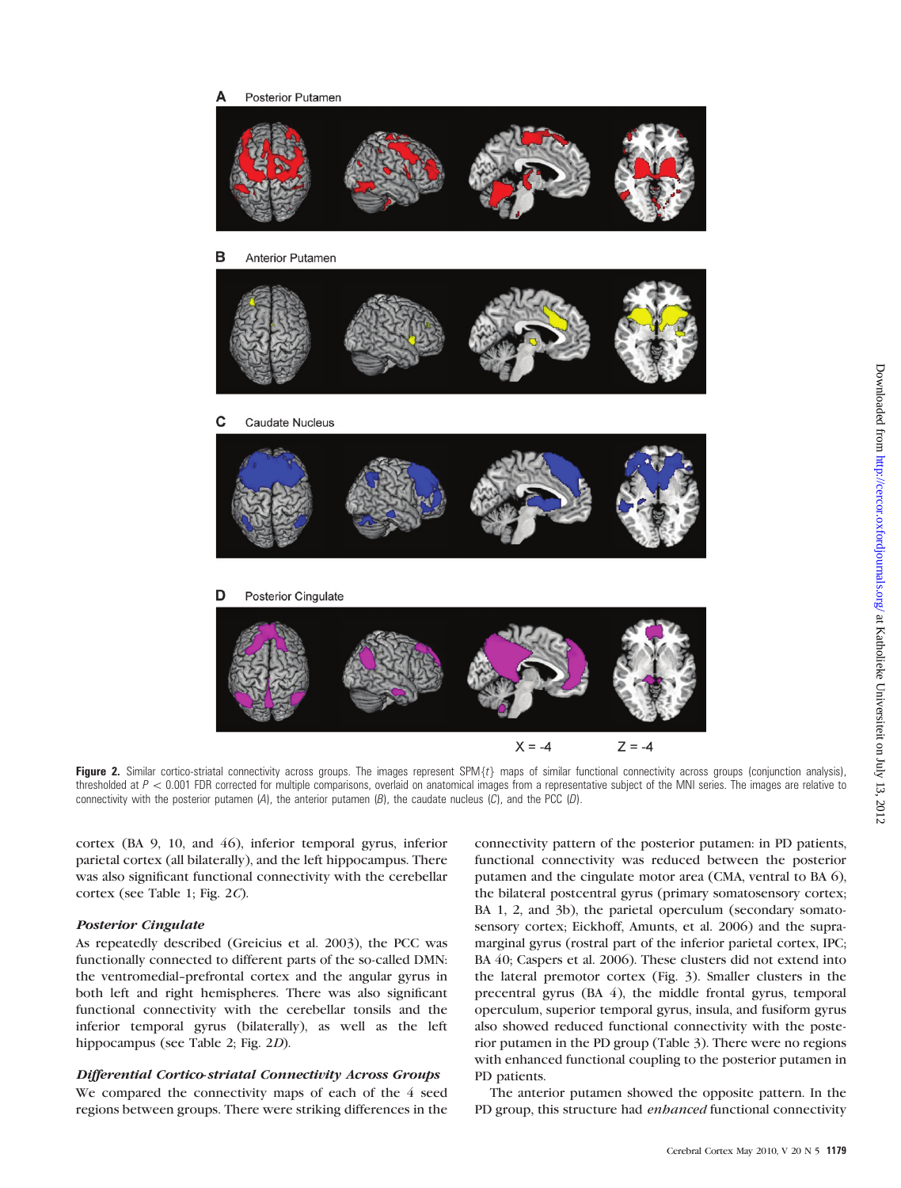

Figure 2. Similar cortico-striatal connectivity across groups. The images represent SPM $\{t\}$  maps of similar functional connectivity across groups (conjunction analysis), thresholded at  $P < 0.001$  FDR corrected for multiple comparisons, overlaid on anatomical images from a representative subject of the MNI series. The images are relative to connectivity with the posterior putamen  $(A)$ , the anterior putamen  $(B)$ , the caudate nucleus  $(C)$ , and the PCC  $(D)$ .

cortex (BA 9, 10, and 46), inferior temporal gyrus, inferior parietal cortex (all bilaterally), and the left hippocampus. There was also significant functional connectivity with the cerebellar cortex (see Table 1; Fig. 2C).

# Posterior Cingulate

As repeatedly described (Greicius et al. 2003), the PCC was functionally connected to different parts of the so-called DMN: the ventromedial-prefrontal cortex and the angular gyrus in both left and right hemispheres. There was also significant functional connectivity with the cerebellar tonsils and the inferior temporal gyrus (bilaterally), as well as the left hippocampus (see Table 2; Fig. 2D).

# Differential Cortico-striatal Connectivity Across Groups

We compared the connectivity maps of each of the 4 seed regions between groups. There were striking differences in the

connectivity pattern of the posterior putamen: in PD patients, functional connectivity was reduced between the posterior putamen and the cingulate motor area (CMA, ventral to BA 6), the bilateral postcentral gyrus (primary somatosensory cortex; BA 1, 2, and 3b), the parietal operculum (secondary somatosensory cortex; Eickhoff, Amunts, et al. 2006) and the supramarginal gyrus (rostral part of the inferior parietal cortex, IPC; BA 40; Caspers et al. 2006). These clusters did not extend into the lateral premotor cortex (Fig. 3). Smaller clusters in the precentral gyrus (BA 4), the middle frontal gyrus, temporal operculum, superior temporal gyrus, insula, and fusiform gyrus also showed reduced functional connectivity with the posterior putamen in the PD group (Table 3). There were no regions with enhanced functional coupling to the posterior putamen in PD patients.

The anterior putamen showed the opposite pattern. In the PD group, this structure had enhanced functional connectivity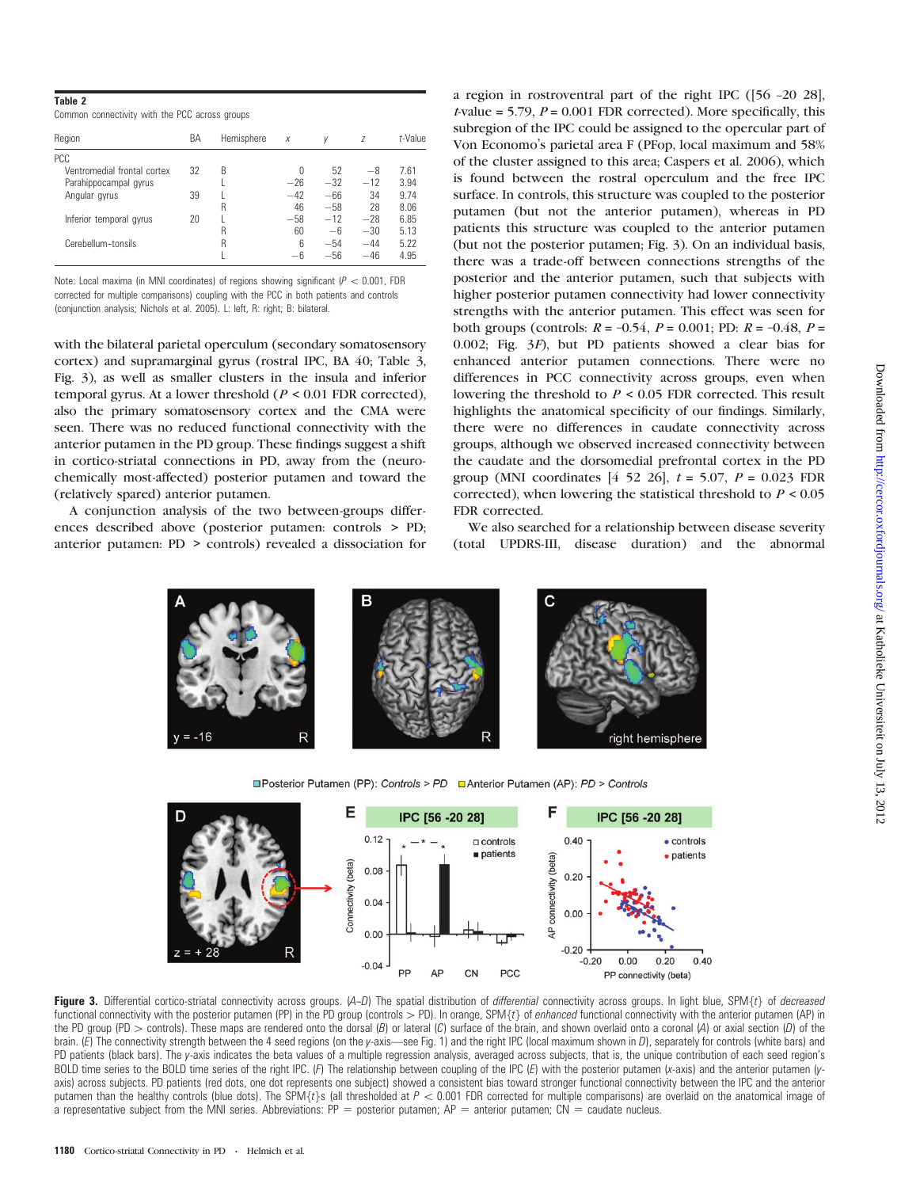Common connectivity with the PCC across groups

| Region                      | BA | Hemisphere | $\boldsymbol{X}$ | V     | Z     | <i>t</i> -Value |
|-----------------------------|----|------------|------------------|-------|-------|-----------------|
| <b>PCC</b>                  |    |            |                  |       |       |                 |
| Ventromedial frontal cortex | 32 | B          | U                | 52    | -8    | 7.61            |
| Parahippocampal gyrus       |    |            | $-26$            | $-32$ | $-12$ | 3.94            |
| Angular gyrus               | 39 |            | $-42$            | $-66$ | 34    | 9.74            |
|                             |    | R          | 46               | $-58$ | 28    | 8.06            |
| Inferior temporal gyrus     | 20 |            | $-58$            | $-12$ | $-28$ | 6.85            |
|                             |    | R          | 60               | $-6$  | $-30$ | 5.13            |
| Cerebellum-tonsils          |    | R          | 6                | $-54$ | $-44$ | 5.22            |
|                             |    |            | —հ               | $-56$ | $-46$ | 4.95            |

Note: Local maxima (in MNI coordinates) of regions showing significant ( $P < 0.001$ , FDR corrected for multiple comparisons) coupling with the PCC in both patients and controls (conjunction analysis; Nichols et al. 2005). L: left, R: right; B: bilateral.

with the bilateral parietal operculum (secondary somatosensory cortex) and supramarginal gyrus (rostral IPC, BA 40; Table 3, Fig. 3), as well as smaller clusters in the insula and inferior temporal gyrus. At a lower threshold ( $P < 0.01$  FDR corrected), also the primary somatosensory cortex and the CMA were seen. There was no reduced functional connectivity with the anterior putamen in the PD group. These findings suggest a shift in cortico-striatal connections in PD, away from the (neurochemically most-affected) posterior putamen and toward the (relatively spared) anterior putamen.

A conjunction analysis of the two between-groups differences described above (posterior putamen: controls > PD; anterior putamen: PD > controls) revealed a dissociation for a region in rostroventral part of the right IPC ([56 –20 28],  $t$ -value = 5.79,  $P = 0.001$  FDR corrected). More specifically, this subregion of the IPC could be assigned to the opercular part of Von Economo's parietal area F (PFop, local maximum and 58% of the cluster assigned to this area; Caspers et al. 2006), which is found between the rostral operculum and the free IPC surface. In controls, this structure was coupled to the posterior putamen (but not the anterior putamen), whereas in PD patients this structure was coupled to the anterior putamen (but not the posterior putamen; Fig. 3). On an individual basis, there was a trade-off between connections strengths of the posterior and the anterior putamen, such that subjects with higher posterior putamen connectivity had lower connectivity strengths with the anterior putamen. This effect was seen for both groups (controls:  $R = -0.54$ ,  $P = 0.001$ ; PD:  $R = -0.48$ ,  $P =$ 0.002; Fig. 3F), but PD patients showed a clear bias for enhanced anterior putamen connections. There were no differences in PCC connectivity across groups, even when lowering the threshold to  $P \leq 0.05$  FDR corrected. This result highlights the anatomical specificity of our findings. Similarly, there were no differences in caudate connectivity across groups, although we observed increased connectivity between the caudate and the dorsomedial prefrontal cortex in the PD group (MNI coordinates  $[4\ 52\ 26]$ ,  $t = 5.07$ ,  $P = 0.023$  FDR corrected), when lowering the statistical threshold to  $P < 0.05$ FDR corrected.

We also searched for a relationship between disease severity (total UPDRS-III, disease duration) and the abnormal



□Posterior Putamen (PP): Controls > PD □ Anterior Putamen (AP): PD > Controls



Figure 3. Differential cortico-striatal connectivity across groups.  $(A-D)$  The spatial distribution of *differential* connectivity across groups. In light blue, SPM{t} of *decreased* functional connectivity with the posterior putamen (PP) in the PD group (controls > PD). In orange, SPM $\{t\}$  of enhanced functional connectivity with the anterior putamen (AP) in the PD group (PD > controls). These maps are rendered onto the dorsal (B) or lateral (C) surface of the brain, and shown overlaid onto a coronal (A) or axial section (D) of the brain. (E) The connectivity strength between the 4 seed regions (on the y-axis—see Fig. 1) and the right IPC (local maximum shown in D), separately for controls (white bars) and PD patients (black bars). The y-axis indicates the beta values of a multiple regression analysis, averaged across subjects, that is, the unique contribution of each seed region's BOLD time series to the BOLD time series of the right IPC. (F) The relationship between coupling of the IPC (E) with the posterior putamen (x-axis) and the anterior putamen (yaxis) across subjects. PD patients (red dots, one dot represents one subject) showed a consistent bias toward stronger functional connectivity between the IPC and the anterior putamen than the healthy controls (blue dots). The SPM{t}s (all thresholded at  $P < 0.001$  FDR corrected for multiple comparisons) are overlaid on the anatomical image of a representative subject from the MNI series. Abbreviations:  $PP =$  posterior putamen;  $AP =$  anterior putamen;  $CN =$  caudate nucleus.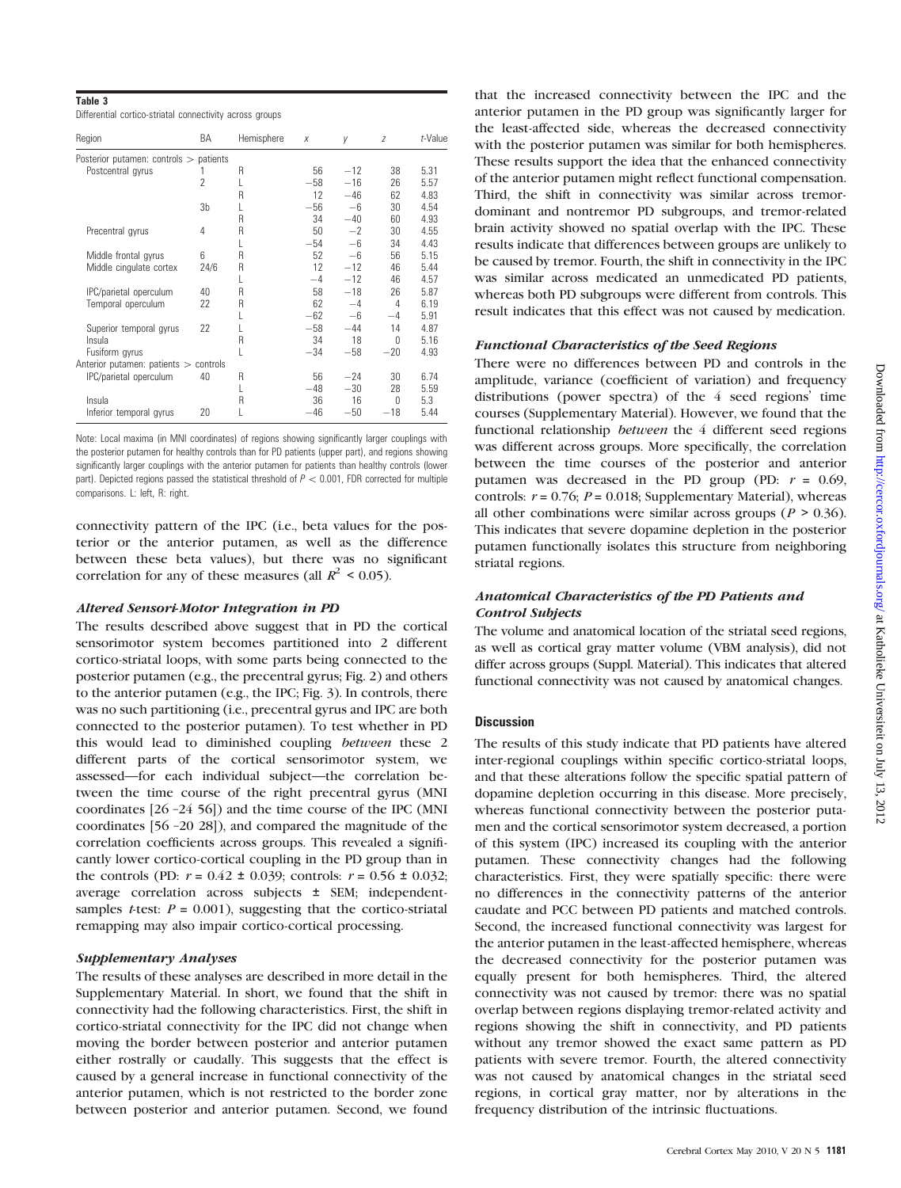## Table 3

Differential cortico-striatal connectivity across groups

| Region                                   | BA                       | Hemisphere | X     | V     | Z     | t-Value |
|------------------------------------------|--------------------------|------------|-------|-------|-------|---------|
| Posterior putamen: controls $>$ patients |                          |            |       |       |       |         |
| Postcentral gyrus                        |                          | R          | 56    | $-12$ | 38    | 5.31    |
|                                          | $\overline{\phantom{a}}$ |            | $-58$ | $-16$ | 26    | 5.57    |
|                                          |                          | R          | 12    | $-46$ | 62    | 4.83    |
|                                          | 3b                       |            | $-56$ | $-6$  | 30    | 4.54    |
|                                          |                          | R          | 34    | $-40$ | 60    | 4.93    |
| Precentral gyrus                         | 4                        | R          | 50    | $-2$  | 30    | 4.55    |
|                                          |                          |            | $-54$ | $-6$  | 34    | 4.43    |
| Middle frontal gyrus                     | 6                        | R          | 52    | $-6$  | 56    | 5.15    |
| Middle cingulate cortex                  | 24/6                     | R          | 12    | $-12$ | 46    | 5.44    |
|                                          |                          |            | $-4$  | $-12$ | 46    | 4.57    |
| IPC/parietal operculum                   | 40                       | R          | 58    | $-18$ | 26    | 5.87    |
| Temporal operculum                       | 22                       | R          | 62    | $-4$  | 4     | 6.19    |
|                                          |                          |            | $-62$ | -6    | $-4$  | 5.91    |
| Superior temporal gyrus                  | 22                       |            | $-58$ | $-44$ | 14    | 4.87    |
| Insula                                   |                          | R          | 34    | 18    | 0     | 5.16    |
| Fusiform gyrus                           |                          |            | $-34$ | $-58$ | $-20$ | 4.93    |
| Anterior putamen: patients > controls    |                          |            |       |       |       |         |
| IPC/parietal operculum                   | 40                       | R          | 56    | $-24$ | 30    | 6.74    |
|                                          |                          | L          | $-48$ | $-30$ | 28    | 5.59    |
| Insula                                   |                          | R          | 36    | 16    | 0     | 5.3     |
| Inferior temporal gyrus                  | 20                       | L          | $-46$ | $-50$ | $-18$ | 5.44    |

Note: Local maxima (in MNI coordinates) of regions showing significantly larger couplings with the posterior putamen for healthy controls than for PD patients (upper part), and regions showing significantly larger couplings with the anterior putamen for patients than healthy controls (lower part). Depicted regions passed the statistical threshold of  $P < 0.001$ , FDR corrected for multiple comparisons. L: left, R: right.

connectivity pattern of the IPC (i.e., beta values for the posterior or the anterior putamen, as well as the difference between these beta values), but there was no significant correlation for any of these measures (all  $R^2$  < 0.05).

#### Altered Sensori-Motor Integration in PD

The results described above suggest that in PD the cortical sensorimotor system becomes partitioned into 2 different cortico-striatal loops, with some parts being connected to the posterior putamen (e.g., the precentral gyrus; Fig. 2) and others to the anterior putamen (e.g., the IPC; Fig. 3). In controls, there was no such partitioning (i.e., precentral gyrus and IPC are both connected to the posterior putamen). To test whether in PD this would lead to diminished coupling between these 2 different parts of the cortical sensorimotor system, we assessed—for each individual subject—the correlation between the time course of the right precentral gyrus (MNI coordinates [26 –24 56]) and the time course of the IPC (MNI coordinates [56 –20 28]), and compared the magnitude of the correlation coefficients across groups. This revealed a significantly lower cortico-cortical coupling in the PD group than in the controls (PD:  $r = 0.42 \pm 0.039$ ; controls:  $r = 0.56 \pm 0.032$ ; average correlation across subjects ± SEM; independentsamples *t*-test:  $P = 0.001$ ), suggesting that the cortico-striatal remapping may also impair cortico-cortical processing.

# Supplementary Analyses

The results of these analyses are described in more detail in the [Supplementary Material.](Supplementary Material) In short, we found that the shift in connectivity had the following characteristics. First, the shift in cortico-striatal connectivity for the IPC did not change when moving the border between posterior and anterior putamen either rostrally or caudally. This suggests that the effect is caused by a general increase in functional connectivity of the anterior putamen, which is not restricted to the border zone between posterior and anterior putamen. Second, we found

that the increased connectivity between the IPC and the anterior putamen in the PD group was significantly larger for the least-affected side, whereas the decreased connectivity with the posterior putamen was similar for both hemispheres. These results support the idea that the enhanced connectivity of the anterior putamen might reflect functional compensation. Third, the shift in connectivity was similar across tremordominant and nontremor PD subgroups, and tremor-related brain activity showed no spatial overlap with the IPC. These results indicate that differences between groups are unlikely to be caused by tremor. Fourth, the shift in connectivity in the IPC was similar across medicated an unmedicated PD patients, whereas both PD subgroups were different from controls. This result indicates that this effect was not caused by medication.

## Functional Characteristics of the Seed Regions

There were no differences between PD and controls in the amplitude, variance (coefficient of variation) and frequency distributions (power spectra) of the 4 seed regions' time courses ([Supplementary Material\)](Supplementary Material). However, we found that the functional relationship *between* the 4 different seed regions was different across groups. More specifically, the correlation between the time courses of the posterior and anterior putamen was decreased in the PD group (PD:  $r = 0.69$ , controls:  $r = 0.76$ ;  $P = 0.018$ ; [Supplementary Material\)](Supplementary Material), whereas all other combinations were similar across groups ( $P > 0.36$ ). This indicates that severe dopamine depletion in the posterior putamen functionally isolates this structure from neighboring striatal regions.

# Anatomical Characteristics of the PD Patients and Control Subjects

The volume and anatomical location of the striatal seed regions, as well as cortical gray matter volume (VBM analysis), did not differ across groups (Suppl. Material). This indicates that altered functional connectivity was not caused by anatomical changes.

# **Discussion**

The results of this study indicate that PD patients have altered inter-regional couplings within specific cortico-striatal loops, and that these alterations follow the specific spatial pattern of dopamine depletion occurring in this disease. More precisely, whereas functional connectivity between the posterior putamen and the cortical sensorimotor system decreased, a portion of this system (IPC) increased its coupling with the anterior putamen. These connectivity changes had the following characteristics. First, they were spatially specific: there were no differences in the connectivity patterns of the anterior caudate and PCC between PD patients and matched controls. Second, the increased functional connectivity was largest for the anterior putamen in the least-affected hemisphere, whereas the decreased connectivity for the posterior putamen was equally present for both hemispheres. Third, the altered connectivity was not caused by tremor: there was no spatial overlap between regions displaying tremor-related activity and regions showing the shift in connectivity, and PD patients without any tremor showed the exact same pattern as PD patients with severe tremor. Fourth, the altered connectivity was not caused by anatomical changes in the striatal seed regions, in cortical gray matter, nor by alterations in the frequency distribution of the intrinsic fluctuations.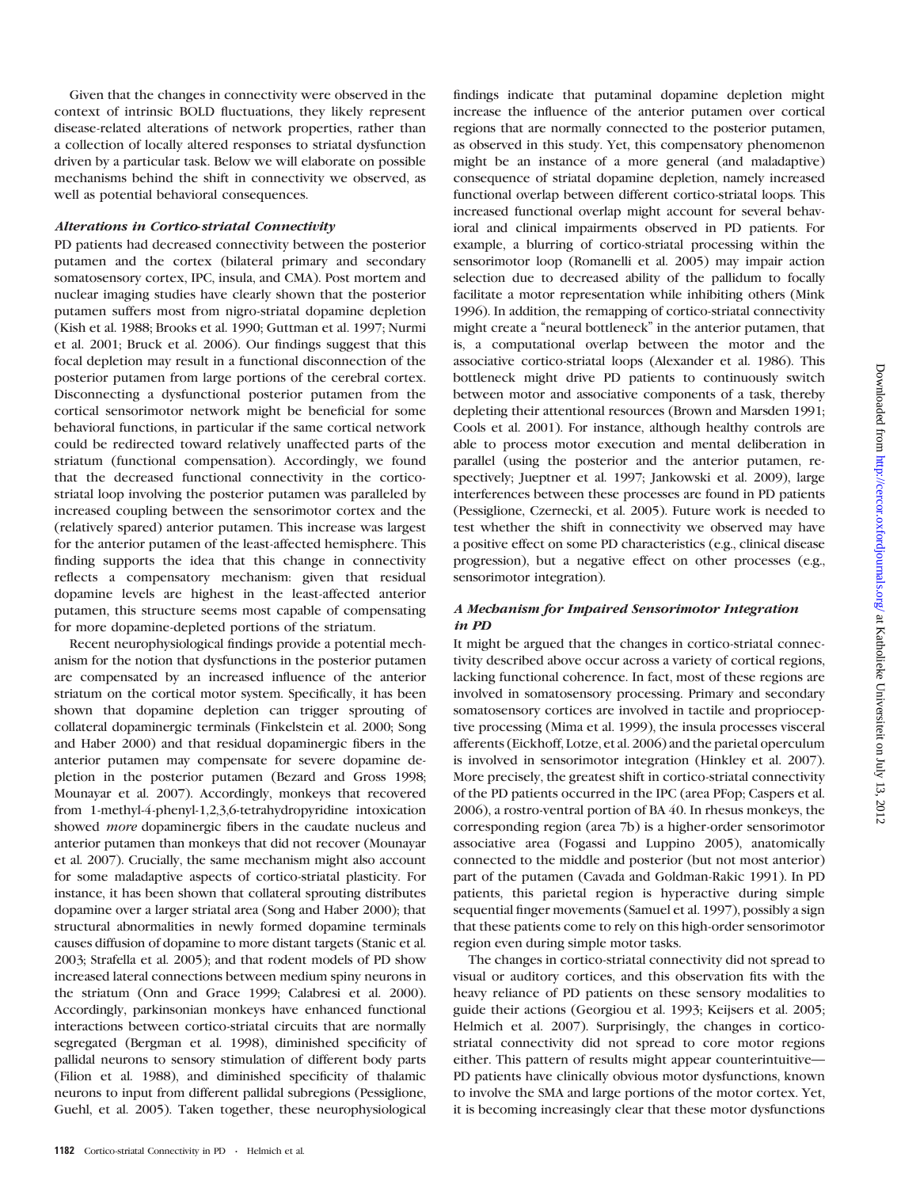Given that the changes in connectivity were observed in the context of intrinsic BOLD fluctuations, they likely represent disease-related alterations of network properties, rather than a collection of locally altered responses to striatal dysfunction driven by a particular task. Below we will elaborate on possible mechanisms behind the shift in connectivity we observed, as well as potential behavioral consequences.

# Alterations in Cortico-striatal Connectivity

PD patients had decreased connectivity between the posterior putamen and the cortex (bilateral primary and secondary somatosensory cortex, IPC, insula, and CMA). Post mortem and nuclear imaging studies have clearly shown that the posterior putamen suffers most from nigro-striatal dopamine depletion (Kish et al. 1988; Brooks et al. 1990; Guttman et al. 1997; Nurmi et al. 2001; Bruck et al. 2006). Our findings suggest that this focal depletion may result in a functional disconnection of the posterior putamen from large portions of the cerebral cortex. Disconnecting a dysfunctional posterior putamen from the cortical sensorimotor network might be beneficial for some behavioral functions, in particular if the same cortical network could be redirected toward relatively unaffected parts of the striatum (functional compensation). Accordingly, we found that the decreased functional connectivity in the corticostriatal loop involving the posterior putamen was paralleled by increased coupling between the sensorimotor cortex and the (relatively spared) anterior putamen. This increase was largest for the anterior putamen of the least-affected hemisphere. This finding supports the idea that this change in connectivity reflects a compensatory mechanism: given that residual dopamine levels are highest in the least-affected anterior putamen, this structure seems most capable of compensating for more dopamine-depleted portions of the striatum.

Recent neurophysiological findings provide a potential mechanism for the notion that dysfunctions in the posterior putamen are compensated by an increased influence of the anterior striatum on the cortical motor system. Specifically, it has been shown that dopamine depletion can trigger sprouting of collateral dopaminergic terminals (Finkelstein et al. 2000; Song and Haber 2000) and that residual dopaminergic fibers in the anterior putamen may compensate for severe dopamine depletion in the posterior putamen (Bezard and Gross 1998; Mounayar et al. 2007). Accordingly, monkeys that recovered from 1-methyl-4-phenyl-1,2,3,6-tetrahydropyridine intoxication showed *more* dopaminergic fibers in the caudate nucleus and anterior putamen than monkeys that did not recover (Mounayar et al. 2007). Crucially, the same mechanism might also account for some maladaptive aspects of cortico-striatal plasticity. For instance, it has been shown that collateral sprouting distributes dopamine over a larger striatal area (Song and Haber 2000); that structural abnormalities in newly formed dopamine terminals causes diffusion of dopamine to more distant targets (Stanic et al. 2003; Strafella et al. 2005); and that rodent models of PD show increased lateral connections between medium spiny neurons in the striatum (Onn and Grace 1999; Calabresi et al. 2000). Accordingly, parkinsonian monkeys have enhanced functional interactions between cortico-striatal circuits that are normally segregated (Bergman et al. 1998), diminished specificity of pallidal neurons to sensory stimulation of different body parts (Filion et al. 1988), and diminished specificity of thalamic neurons to input from different pallidal subregions (Pessiglione, Guehl, et al. 2005). Taken together, these neurophysiological

increase the influence of the anterior putamen over cortical regions that are normally connected to the posterior putamen, as observed in this study. Yet, this compensatory phenomenon might be an instance of a more general (and maladaptive) consequence of striatal dopamine depletion, namely increased functional overlap between different cortico-striatal loops. This increased functional overlap might account for several behavioral and clinical impairments observed in PD patients. For example, a blurring of cortico-striatal processing within the sensorimotor loop (Romanelli et al. 2005) may impair action selection due to decreased ability of the pallidum to focally facilitate a motor representation while inhibiting others (Mink 1996). In addition, the remapping of cortico-striatal connectivity might create a ''neural bottleneck'' in the anterior putamen, that is, a computational overlap between the motor and the associative cortico-striatal loops (Alexander et al. 1986). This bottleneck might drive PD patients to continuously switch between motor and associative components of a task, thereby depleting their attentional resources (Brown and Marsden 1991; Cools et al. 2001). For instance, although healthy controls are able to process motor execution and mental deliberation in parallel (using the posterior and the anterior putamen, respectively; Jueptner et al. 1997; Jankowski et al. 2009), large interferences between these processes are found in PD patients (Pessiglione, Czernecki, et al. 2005). Future work is needed to test whether the shift in connectivity we observed may have a positive effect on some PD characteristics (e.g., clinical disease progression), but a negative effect on other processes (e.g., sensorimotor integration).

findings indicate that putaminal dopamine depletion might

# A Mechanism for Impaired Sensorimotor Integration in PD

It might be argued that the changes in cortico-striatal connectivity described above occur across a variety of cortical regions, lacking functional coherence. In fact, most of these regions are involved in somatosensory processing. Primary and secondary somatosensory cortices are involved in tactile and proprioceptive processing (Mima et al. 1999), the insula processes visceral afferents (Eickhoff, Lotze, et al. 2006) and the parietal operculum is involved in sensorimotor integration (Hinkley et al. 2007). More precisely, the greatest shift in cortico-striatal connectivity of the PD patients occurred in the IPC (area PFop; Caspers et al. 2006), a rostro-ventral portion of BA 40. In rhesus monkeys, the corresponding region (area 7b) is a higher-order sensorimotor associative area (Fogassi and Luppino 2005), anatomically connected to the middle and posterior (but not most anterior) part of the putamen (Cavada and Goldman-Rakic 1991). In PD patients, this parietal region is hyperactive during simple sequential finger movements (Samuel et al. 1997), possibly a sign that these patients come to rely on this high-order sensorimotor region even during simple motor tasks.

The changes in cortico-striatal connectivity did not spread to visual or auditory cortices, and this observation fits with the heavy reliance of PD patients on these sensory modalities to guide their actions (Georgiou et al. 1993; Keijsers et al. 2005; Helmich et al. 2007). Surprisingly, the changes in corticostriatal connectivity did not spread to core motor regions either. This pattern of results might appear counterintuitive— PD patients have clinically obvious motor dysfunctions, known to involve the SMA and large portions of the motor cortex. Yet, it is becoming increasingly clear that these motor dysfunctions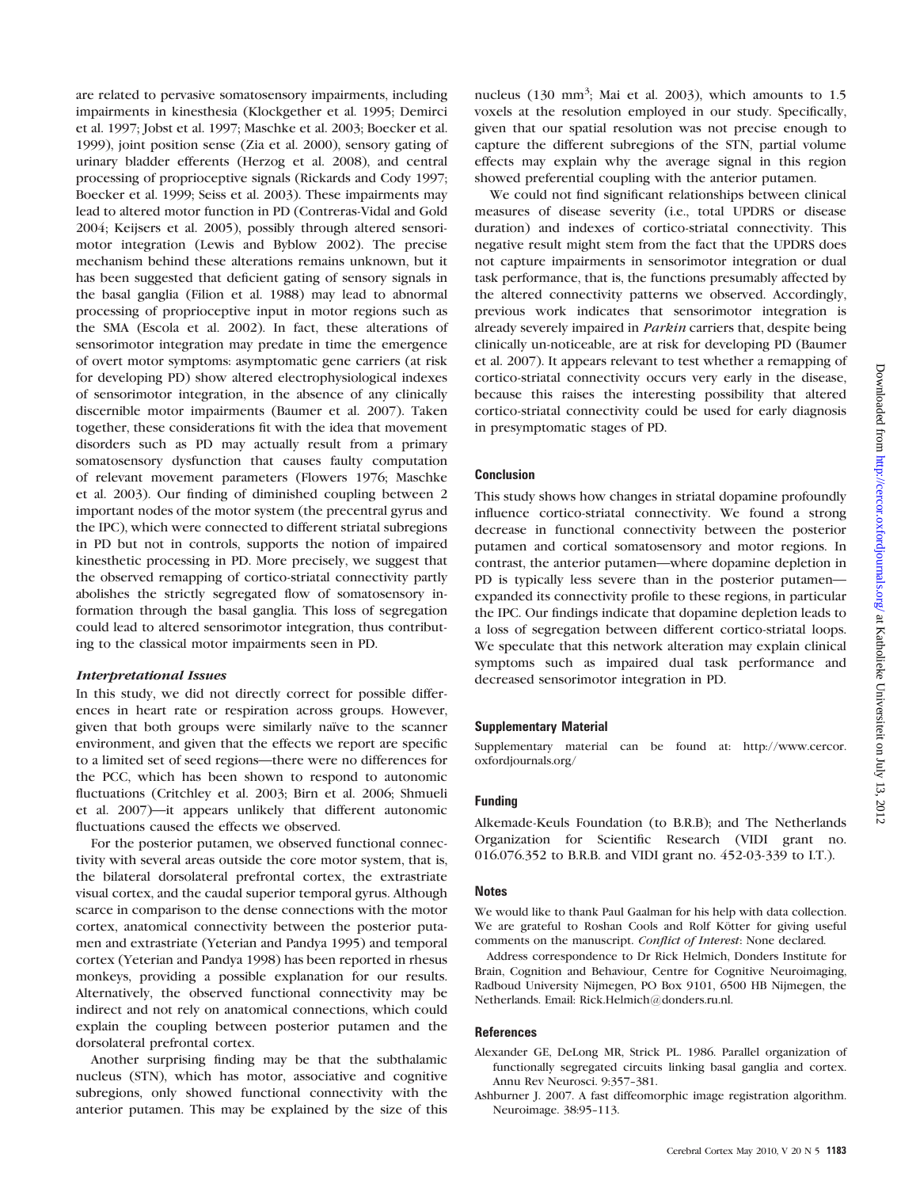are related to pervasive somatosensory impairments, including impairments in kinesthesia (Klockgether et al. 1995; Demirci et al. 1997; Jobst et al. 1997; Maschke et al. 2003; Boecker et al. 1999), joint position sense (Zia et al. 2000), sensory gating of urinary bladder efferents (Herzog et al. 2008), and central processing of proprioceptive signals (Rickards and Cody 1997; Boecker et al. 1999; Seiss et al. 2003). These impairments may lead to altered motor function in PD (Contreras-Vidal and Gold 2004; Keijsers et al. 2005), possibly through altered sensorimotor integration (Lewis and Byblow 2002). The precise mechanism behind these alterations remains unknown, but it has been suggested that deficient gating of sensory signals in the basal ganglia (Filion et al. 1988) may lead to abnormal processing of proprioceptive input in motor regions such as the SMA (Escola et al. 2002). In fact, these alterations of sensorimotor integration may predate in time the emergence of overt motor symptoms: asymptomatic gene carriers (at risk for developing PD) show altered electrophysiological indexes of sensorimotor integration, in the absence of any clinically discernible motor impairments (Baumer et al. 2007). Taken together, these considerations fit with the idea that movement disorders such as PD may actually result from a primary somatosensory dysfunction that causes faulty computation of relevant movement parameters (Flowers 1976; Maschke et al. 2003). Our finding of diminished coupling between 2 important nodes of the motor system (the precentral gyrus and the IPC), which were connected to different striatal subregions in PD but not in controls, supports the notion of impaired kinesthetic processing in PD. More precisely, we suggest that the observed remapping of cortico-striatal connectivity partly abolishes the strictly segregated flow of somatosensory information through the basal ganglia. This loss of segregation could lead to altered sensorimotor integration, thus contributing to the classical motor impairments seen in PD.

# Interpretational Issues

In this study, we did not directly correct for possible differences in heart rate or respiration across groups. However, given that both groups were similarly naïve to the scanner environment, and given that the effects we report are specific to a limited set of seed regions—there were no differences for the PCC, which has been shown to respond to autonomic fluctuations (Critchley et al. 2003; Birn et al. 2006; Shmueli et al. 2007)—it appears unlikely that different autonomic fluctuations caused the effects we observed.

For the posterior putamen, we observed functional connectivity with several areas outside the core motor system, that is, the bilateral dorsolateral prefrontal cortex, the extrastriate visual cortex, and the caudal superior temporal gyrus. Although scarce in comparison to the dense connections with the motor cortex, anatomical connectivity between the posterior putamen and extrastriate (Yeterian and Pandya 1995) and temporal cortex (Yeterian and Pandya 1998) has been reported in rhesus monkeys, providing a possible explanation for our results. Alternatively, the observed functional connectivity may be indirect and not rely on anatomical connections, which could explain the coupling between posterior putamen and the dorsolateral prefrontal cortex.

Another surprising finding may be that the subthalamic nucleus (STN), which has motor, associative and cognitive subregions, only showed functional connectivity with the anterior putamen. This may be explained by the size of this

nucleus  $(130 \text{ mm}^3)$ ; Mai et al. 2003), which amounts to 1.5 voxels at the resolution employed in our study. Specifically, given that our spatial resolution was not precise enough to capture the different subregions of the STN, partial volume effects may explain why the average signal in this region showed preferential coupling with the anterior putamen.

We could not find significant relationships between clinical measures of disease severity (i.e., total UPDRS or disease duration) and indexes of cortico-striatal connectivity. This negative result might stem from the fact that the UPDRS does not capture impairments in sensorimotor integration or dual task performance, that is, the functions presumably affected by the altered connectivity patterns we observed. Accordingly, previous work indicates that sensorimotor integration is already severely impaired in Parkin carriers that, despite being clinically un-noticeable, are at risk for developing PD (Baumer et al. 2007). It appears relevant to test whether a remapping of cortico-striatal connectivity occurs very early in the disease, because this raises the interesting possibility that altered cortico-striatal connectivity could be used for early diagnosis in presymptomatic stages of PD.

# Conclusion

This study shows how changes in striatal dopamine profoundly influence cortico-striatal connectivity. We found a strong decrease in functional connectivity between the posterior putamen and cortical somatosensory and motor regions. In contrast, the anterior putamen—where dopamine depletion in PD is typically less severe than in the posterior putamen expanded its connectivity profile to these regions, in particular the IPC. Our findings indicate that dopamine depletion leads to a loss of segregation between different cortico-striatal loops. We speculate that this network alteration may explain clinical symptoms such as impaired dual task performance and decreased sensorimotor integration in PD.

# Supplementary Material

<Supplementary material> can be found at: [http://www.cercor.](http://www.cercor.oxfordjournals.org/) [oxfordjournals.org/](http://www.cercor.oxfordjournals.org/)

#### Funding

Alkemade-Keuls Foundation (to B.R.B); and The Netherlands Organization for Scientific Research (VIDI grant no. 016.076.352 to B.R.B. and VIDI grant no. 452-03-339 to I.T.).

# **Notes**

We would like to thank Paul Gaalman for his help with data collection. We are grateful to Roshan Cools and Rolf Kötter for giving useful comments on the manuscript. Conflict of Interest: None declared.

Address correspondence to Dr Rick Helmich, Donders Institute for Brain, Cognition and Behaviour, Centre for Cognitive Neuroimaging, Radboud University Nijmegen, PO Box 9101, 6500 HB Nijmegen, the Netherlands. Email: Rick.Helmich@donders.ru.nl.

#### **References**

- Alexander GE, DeLong MR, Strick PL. 1986. Parallel organization of functionally segregated circuits linking basal ganglia and cortex. Annu Rev Neurosci. 9:357-381.
- Ashburner J. 2007. A fast diffeomorphic image registration algorithm. Neuroimage. 38:95-113.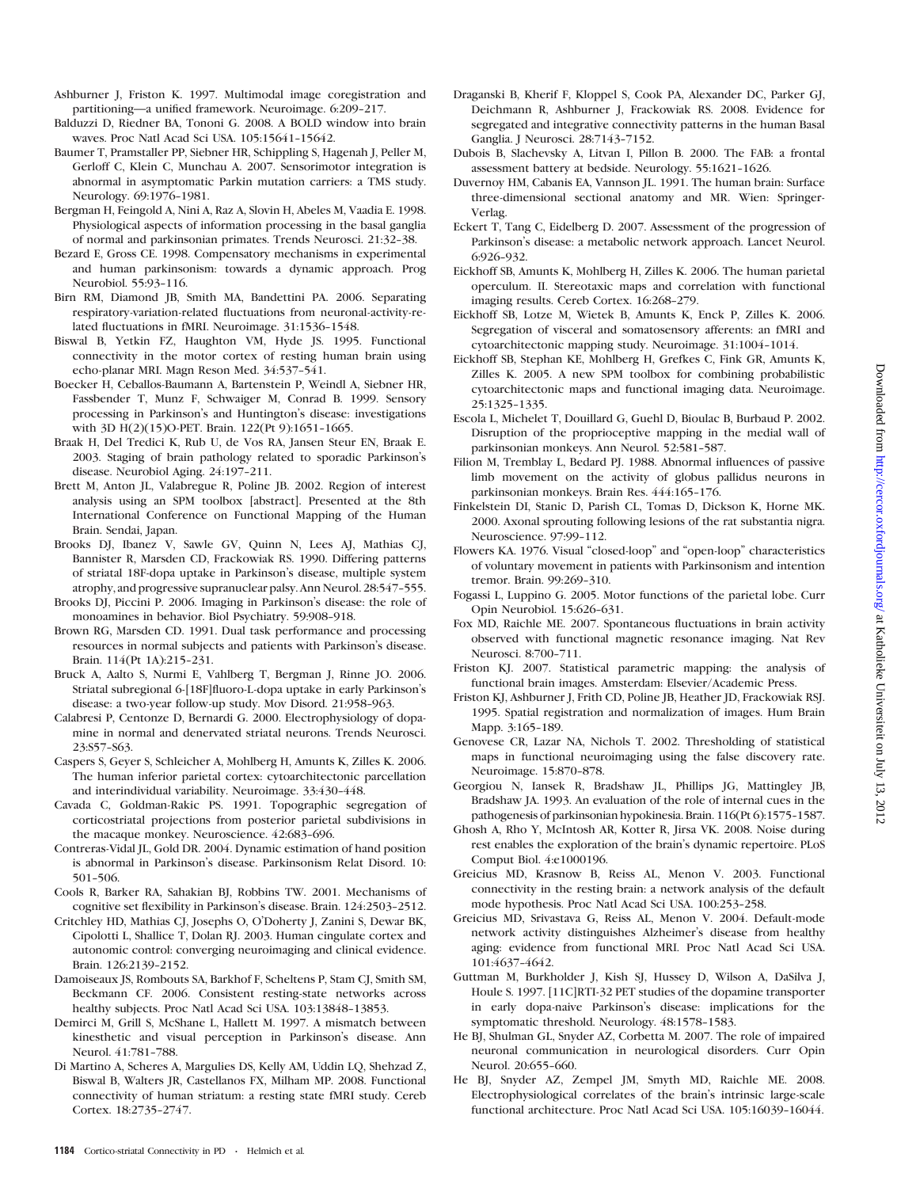- Ashburner J, Friston K. 1997. Multimodal image coregistration and partitioning—a unified framework. Neuroimage. 6:209-217.
- Balduzzi D, Riedner BA, Tononi G. 2008. A BOLD window into brain waves. Proc Natl Acad Sci USA. 105:15641-15642.
- Baumer T, Pramstaller PP, Siebner HR, Schippling S, Hagenah J, Peller M, Gerloff C, Klein C, Munchau A. 2007. Sensorimotor integration is abnormal in asymptomatic Parkin mutation carriers: a TMS study. Neurology. 69:1976-1981.
- Bergman H, Feingold A, Nini A, Raz A, Slovin H, Abeles M, Vaadia E. 1998. Physiological aspects of information processing in the basal ganglia of normal and parkinsonian primates. Trends Neurosci. 21:32-38.
- Bezard E, Gross CE. 1998. Compensatory mechanisms in experimental and human parkinsonism: towards a dynamic approach. Prog Neurobiol. 55:93-116.
- Birn RM, Diamond JB, Smith MA, Bandettini PA. 2006. Separating respiratory-variation-related fluctuations from neuronal-activity-related fluctuations in fMRI. Neuroimage. 31:1536-1548.
- Biswal B, Yetkin FZ, Haughton VM, Hyde JS. 1995. Functional connectivity in the motor cortex of resting human brain using echo-planar MRI. Magn Reson Med. 34:537-541.
- Boecker H, Ceballos-Baumann A, Bartenstein P, Weindl A, Siebner HR, Fassbender T, Munz F, Schwaiger M, Conrad B. 1999. Sensory processing in Parkinson's and Huntington's disease: investigations with 3D H(2)(15)O-PET. Brain. 122(Pt 9):1651-1665.
- Braak H, Del Tredici K, Rub U, de Vos RA, Jansen Steur EN, Braak E. 2003. Staging of brain pathology related to sporadic Parkinson's disease. Neurobiol Aging. 24:197-211.
- Brett M, Anton JL, Valabregue R, Poline JB. 2002. Region of interest analysis using an SPM toolbox [abstract]. Presented at the 8th International Conference on Functional Mapping of the Human Brain. Sendai, Japan.
- Brooks DJ, Ibanez V, Sawle GV, Quinn N, Lees AJ, Mathias CJ, Bannister R, Marsden CD, Frackowiak RS. 1990. Differing patterns of striatal 18F-dopa uptake in Parkinson's disease, multiple system atrophy, and progressive supranuclear palsy. Ann Neurol. 28:547-555.
- Brooks DJ, Piccini P. 2006. Imaging in Parkinson's disease: the role of monoamines in behavior. Biol Psychiatry. 59:908-918.
- Brown RG, Marsden CD. 1991. Dual task performance and processing resources in normal subjects and patients with Parkinson's disease. Brain. 114(Pt 1A):215-231.
- Bruck A, Aalto S, Nurmi E, Vahlberg T, Bergman J, Rinne JO. 2006. Striatal subregional 6-[18F]fluoro-L-dopa uptake in early Parkinson's disease: a two-year follow-up study. Mov Disord. 21:958-963.
- Calabresi P, Centonze D, Bernardi G. 2000. Electrophysiology of dopamine in normal and denervated striatal neurons. Trends Neurosci. 23:S57-S63.
- Caspers S, Geyer S, Schleicher A, Mohlberg H, Amunts K, Zilles K. 2006. The human inferior parietal cortex: cytoarchitectonic parcellation and interindividual variability. Neuroimage. 33:430-448.
- Cavada C, Goldman-Rakic PS. 1991. Topographic segregation of corticostriatal projections from posterior parietal subdivisions in the macaque monkey. Neuroscience. 42:683-696.
- Contreras-Vidal JL, Gold DR. 2004. Dynamic estimation of hand position is abnormal in Parkinson's disease. Parkinsonism Relat Disord. 10: 501-506.
- Cools R, Barker RA, Sahakian BJ, Robbins TW. 2001. Mechanisms of cognitive set flexibility in Parkinson's disease. Brain. 124:2503-2512.
- Critchley HD, Mathias CJ, Josephs O, O'Doherty J, Zanini S, Dewar BK, Cipolotti L, Shallice T, Dolan RJ. 2003. Human cingulate cortex and autonomic control: converging neuroimaging and clinical evidence. Brain. 126:2139-2152.
- Damoiseaux JS, Rombouts SA, Barkhof F, Scheltens P, Stam CJ, Smith SM, Beckmann CF. 2006. Consistent resting-state networks across healthy subjects. Proc Natl Acad Sci USA. 103:13848-13853.
- Demirci M, Grill S, McShane L, Hallett M. 1997. A mismatch between kinesthetic and visual perception in Parkinson's disease. Ann Neurol. 41:781-788.
- Di Martino A, Scheres A, Margulies DS, Kelly AM, Uddin LQ, Shehzad Z, Biswal B, Walters JR, Castellanos FX, Milham MP. 2008. Functional connectivity of human striatum: a resting state fMRI study. Cereb Cortex. 18:2735-2747.
- Draganski B, Kherif F, Kloppel S, Cook PA, Alexander DC, Parker GJ, Deichmann R, Ashburner J, Frackowiak RS. 2008. Evidence for segregated and integrative connectivity patterns in the human Basal Ganglia. J Neurosci. 28:7143--7152.
- Dubois B, Slachevsky A, Litvan I, Pillon B. 2000. The FAB: a frontal assessment battery at bedside. Neurology. 55:1621-1626.
- Duvernoy HM, Cabanis EA, Vannson JL. 1991. The human brain: Surface three-dimensional sectional anatomy and MR. Wien: Springer-Verlag.
- Eckert T, Tang C, Eidelberg D. 2007. Assessment of the progression of Parkinson's disease: a metabolic network approach. Lancet Neurol. 6:926-932.
- Eickhoff SB, Amunts K, Mohlberg H, Zilles K. 2006. The human parietal operculum. II. Stereotaxic maps and correlation with functional imaging results. Cereb Cortex. 16:268-279.
- Eickhoff SB, Lotze M, Wietek B, Amunts K, Enck P, Zilles K. 2006. Segregation of visceral and somatosensory afferents: an fMRI and cytoarchitectonic mapping study. Neuroimage. 31:1004-1014.
- Eickhoff SB, Stephan KE, Mohlberg H, Grefkes C, Fink GR, Amunts K, Zilles K. 2005. A new SPM toolbox for combining probabilistic cytoarchitectonic maps and functional imaging data. Neuroimage. 25:1325--1335.
- Escola L, Michelet T, Douillard G, Guehl D, Bioulac B, Burbaud P. 2002. Disruption of the proprioceptive mapping in the medial wall of parkinsonian monkeys. Ann Neurol. 52:581-587.
- Filion M, Tremblay L, Bedard PJ. 1988. Abnormal influences of passive limb movement on the activity of globus pallidus neurons in parkinsonian monkeys. Brain Res. 444:165-176.
- Finkelstein DI, Stanic D, Parish CL, Tomas D, Dickson K, Horne MK. 2000. Axonal sprouting following lesions of the rat substantia nigra. Neuroscience. 97:99-112.
- Flowers KA. 1976. Visual "closed-loop" and "open-loop" characteristics of voluntary movement in patients with Parkinsonism and intention tremor. Brain. 99:269-310.
- Fogassi L, Luppino G. 2005. Motor functions of the parietal lobe. Curr Opin Neurobiol. 15:626-631.
- Fox MD, Raichle ME. 2007. Spontaneous fluctuations in brain activity observed with functional magnetic resonance imaging. Nat Rev Neurosci. 8:700-711.
- Friston KJ. 2007. Statistical parametric mapping: the analysis of functional brain images. Amsterdam: Elsevier/Academic Press.
- Friston KJ, Ashburner J, Frith CD, Poline JB, Heather JD, Frackowiak RSJ. 1995. Spatial registration and normalization of images. Hum Brain Mapp. 3:165-189.
- Genovese CR, Lazar NA, Nichols T. 2002. Thresholding of statistical maps in functional neuroimaging using the false discovery rate. Neuroimage. 15:870-878.
- Georgiou N, Iansek R, Bradshaw JL, Phillips JG, Mattingley JB, Bradshaw JA. 1993. An evaluation of the role of internal cues in the pathogenesis of parkinsonian hypokinesia. Brain. 116(Pt 6):1575-1587.
- Ghosh A, Rho Y, McIntosh AR, Kotter R, Jirsa VK. 2008. Noise during rest enables the exploration of the brain's dynamic repertoire. PLoS Comput Biol. 4:e1000196.
- Greicius MD, Krasnow B, Reiss AL, Menon V. 2003. Functional connectivity in the resting brain: a network analysis of the default mode hypothesis. Proc Natl Acad Sci USA. 100:253-258.
- Greicius MD, Srivastava G, Reiss AL, Menon V. 2004. Default-mode network activity distinguishes Alzheimer's disease from healthy aging: evidence from functional MRI. Proc Natl Acad Sci USA. 101:4637-4642.
- Guttman M, Burkholder J, Kish SJ, Hussey D, Wilson A, DaSilva J, Houle S. 1997. [11C]RTI-32 PET studies of the dopamine transporter in early dopa-naive Parkinson's disease: implications for the symptomatic threshold. Neurology. 48:1578-1583.
- He BJ, Shulman GL, Snyder AZ, Corbetta M. 2007. The role of impaired neuronal communication in neurological disorders. Curr Opin Neurol. 20:655-660.
- He BJ, Snyder AZ, Zempel JM, Smyth MD, Raichle ME. 2008. Electrophysiological correlates of the brain's intrinsic large-scale functional architecture. Proc Natl Acad Sci USA. 105:16039-16044.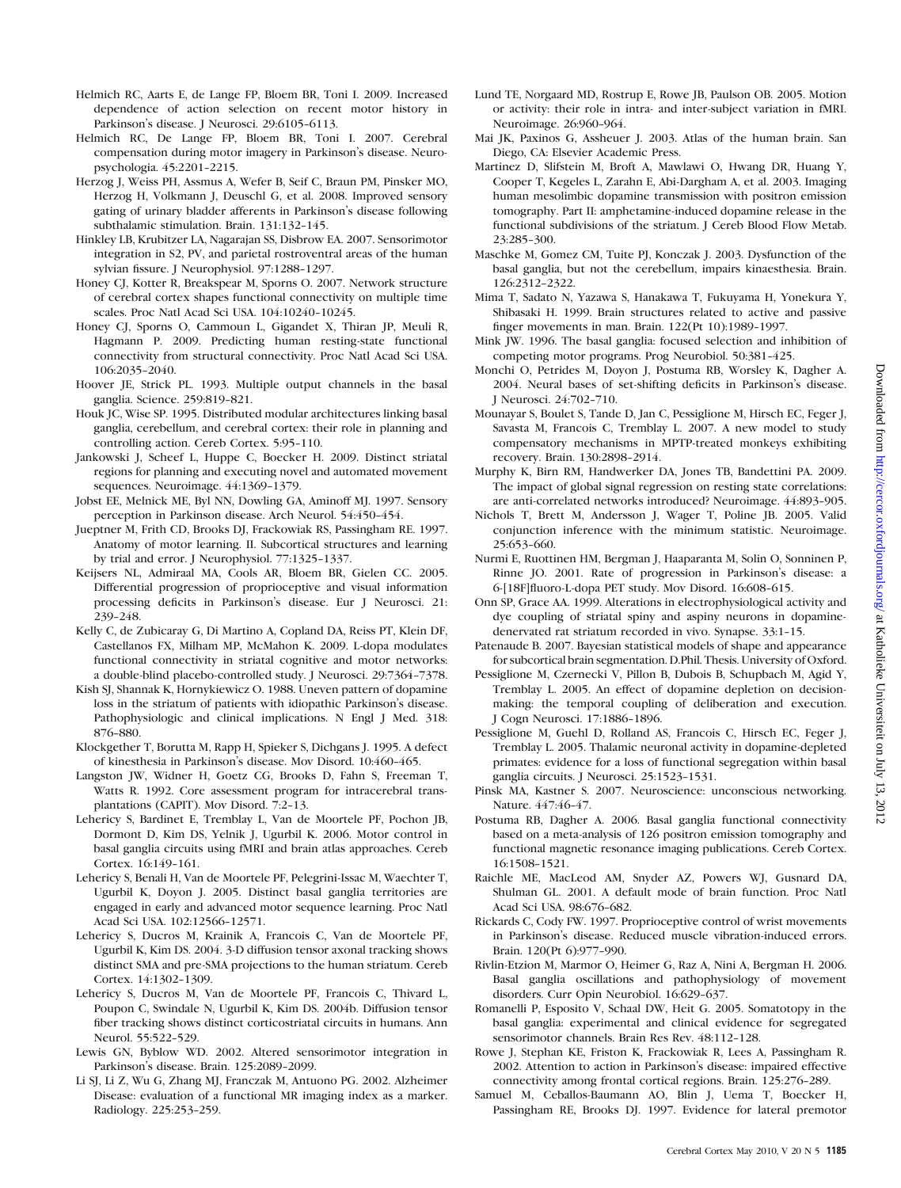- Helmich RC, Aarts E, de Lange FP, Bloem BR, Toni I. 2009. Increased dependence of action selection on recent motor history in Parkinson's disease. J Neurosci. 29:6105-6113.
- Helmich RC, De Lange FP, Bloem BR, Toni I. 2007. Cerebral compensation during motor imagery in Parkinson's disease. Neuropsychologia. 45:2201-2215.
- Herzog J, Weiss PH, Assmus A, Wefer B, Seif C, Braun PM, Pinsker MO, Herzog H, Volkmann J, Deuschl G, et al. 2008. Improved sensory gating of urinary bladder afferents in Parkinson's disease following subthalamic stimulation. Brain. 131:132-145.
- Hinkley LB, Krubitzer LA, Nagarajan SS, Disbrow EA. 2007. Sensorimotor integration in S2, PV, and parietal rostroventral areas of the human sylvian fissure. J Neurophysiol. 97:1288-1297.
- Honey CJ, Kotter R, Breakspear M, Sporns O. 2007. Network structure of cerebral cortex shapes functional connectivity on multiple time scales. Proc Natl Acad Sci USA. 104:10240-10245.
- Honey CJ, Sporns O, Cammoun L, Gigandet X, Thiran JP, Meuli R, Hagmann P. 2009. Predicting human resting-state functional connectivity from structural connectivity. Proc Natl Acad Sci USA. 106:2035--2040.
- Hoover JE, Strick PL. 1993. Multiple output channels in the basal ganglia. Science. 259:819-821.
- Houk JC, Wise SP. 1995. Distributed modular architectures linking basal ganglia, cerebellum, and cerebral cortex: their role in planning and controlling action. Cereb Cortex. 5:95-110.
- Jankowski J, Scheef L, Huppe C, Boecker H. 2009. Distinct striatal regions for planning and executing novel and automated movement sequences. Neuroimage. 44:1369-1379.
- Jobst EE, Melnick ME, Byl NN, Dowling GA, Aminoff MJ. 1997. Sensory perception in Parkinson disease. Arch Neurol. 54:450-454.
- Jueptner M, Frith CD, Brooks DJ, Frackowiak RS, Passingham RE. 1997. Anatomy of motor learning. II. Subcortical structures and learning by trial and error. J Neurophysiol. 77:1325-1337.
- Keijsers NL, Admiraal MA, Cools AR, Bloem BR, Gielen CC. 2005. Differential progression of proprioceptive and visual information processing deficits in Parkinson's disease. Eur J Neurosci. 21: 239--248.
- Kelly C, de Zubicaray G, Di Martino A, Copland DA, Reiss PT, Klein DF, Castellanos FX, Milham MP, McMahon K. 2009. L-dopa modulates functional connectivity in striatal cognitive and motor networks: a double-blind placebo-controlled study. J Neurosci. 29:7364-7378.
- Kish SJ, Shannak K, Hornykiewicz O. 1988. Uneven pattern of dopamine loss in the striatum of patients with idiopathic Parkinson's disease. Pathophysiologic and clinical implications. N Engl J Med. 318: 876-880.
- Klockgether T, Borutta M, Rapp H, Spieker S, Dichgans J. 1995. A defect of kinesthesia in Parkinson's disease. Mov Disord. 10:460-465.
- Langston JW, Widner H, Goetz CG, Brooks D, Fahn S, Freeman T, Watts R. 1992. Core assessment program for intracerebral transplantations (CAPIT). Mov Disord. 7:2-13.
- Lehericy S, Bardinet E, Tremblay L, Van de Moortele PF, Pochon JB, Dormont D, Kim DS, Yelnik J, Ugurbil K. 2006. Motor control in basal ganglia circuits using fMRI and brain atlas approaches. Cereb Cortex. 16:149-161.
- Lehericy S, Benali H, Van de Moortele PF, Pelegrini-Issac M, Waechter T, Ugurbil K, Doyon J. 2005. Distinct basal ganglia territories are engaged in early and advanced motor sequence learning. Proc Natl Acad Sci USA. 102:12566-12571.
- Lehericy S, Ducros M, Krainik A, Francois C, Van de Moortele PF, Ugurbil K, Kim DS. 2004. 3-D diffusion tensor axonal tracking shows distinct SMA and pre-SMA projections to the human striatum. Cereb Cortex. 14:1302-1309.
- Lehericy S, Ducros M, Van de Moortele PF, Francois C, Thivard L, Poupon C, Swindale N, Ugurbil K, Kim DS. 2004b. Diffusion tensor fiber tracking shows distinct corticostriatal circuits in humans. Ann Neurol. 55:522-529.
- Lewis GN, Byblow WD. 2002. Altered sensorimotor integration in Parkinson's disease. Brain. 125:2089-2099.
- Li SJ, Li Z, Wu G, Zhang MJ, Franczak M, Antuono PG. 2002. Alzheimer Disease: evaluation of a functional MR imaging index as a marker. Radiology. 225:253-259.
- Lund TE, Norgaard MD, Rostrup E, Rowe JB, Paulson OB. 2005. Motion or activity: their role in intra- and inter-subject variation in fMRI. Neuroimage. 26:960-964.
- Mai JK, Paxinos G, Assheuer J. 2003. Atlas of the human brain. San Diego, CA: Elsevier Academic Press.
- Martinez D, Slifstein M, Broft A, Mawlawi O, Hwang DR, Huang Y, Cooper T, Kegeles L, Zarahn E, Abi-Dargham A, et al. 2003. Imaging human mesolimbic dopamine transmission with positron emission tomography. Part II: amphetamine-induced dopamine release in the functional subdivisions of the striatum. J Cereb Blood Flow Metab. 23:285--300.
- Maschke M, Gomez CM, Tuite PJ, Konczak J. 2003. Dysfunction of the basal ganglia, but not the cerebellum, impairs kinaesthesia. Brain. 126:2312--2322.
- Mima T, Sadato N, Yazawa S, Hanakawa T, Fukuyama H, Yonekura Y, Shibasaki H. 1999. Brain structures related to active and passive finger movements in man. Brain. 122(Pt 10):1989--1997.
- Mink JW. 1996. The basal ganglia: focused selection and inhibition of competing motor programs. Prog Neurobiol. 50:381-425.
- Monchi O, Petrides M, Doyon J, Postuma RB, Worsley K, Dagher A. 2004. Neural bases of set-shifting deficits in Parkinson's disease. J Neurosci. 24:702--710.
- Mounayar S, Boulet S, Tande D, Jan C, Pessiglione M, Hirsch EC, Feger J, Savasta M, Francois C, Tremblay L. 2007. A new model to study compensatory mechanisms in MPTP-treated monkeys exhibiting recovery. Brain. 130:2898-2914.
- Murphy K, Birn RM, Handwerker DA, Jones TB, Bandettini PA. 2009. The impact of global signal regression on resting state correlations: are anti-correlated networks introduced? Neuroimage. 44:893-905.
- Nichols T, Brett M, Andersson J, Wager T, Poline JB. 2005. Valid conjunction inference with the minimum statistic. Neuroimage. 25:653-660.
- Nurmi E, Ruottinen HM, Bergman J, Haaparanta M, Solin O, Sonninen P, Rinne JO. 2001. Rate of progression in Parkinson's disease: a 6-[18F]fluoro-L-dopa PET study. Mov Disord. 16:608-615.
- Onn SP, Grace AA. 1999. Alterations in electrophysiological activity and dye coupling of striatal spiny and aspiny neurons in dopaminedenervated rat striatum recorded in vivo. Synapse. 33:1-15.
- Patenaude B. 2007. Bayesian statistical models of shape and appearance for subcortical brain segmentation. D.Phil. Thesis. University of Oxford.
- Pessiglione M, Czernecki V, Pillon B, Dubois B, Schupbach M, Agid Y, Tremblay L. 2005. An effect of dopamine depletion on decisionmaking: the temporal coupling of deliberation and execution. J Cogn Neurosci. 17:1886-1896.
- Pessiglione M, Guehl D, Rolland AS, Francois C, Hirsch EC, Feger J, Tremblay L. 2005. Thalamic neuronal activity in dopamine-depleted primates: evidence for a loss of functional segregation within basal ganglia circuits. J Neurosci. 25:1523-1531.
- Pinsk MA, Kastner S. 2007. Neuroscience: unconscious networking. Nature. 447:46-47.
- Postuma RB, Dagher A. 2006. Basal ganglia functional connectivity based on a meta-analysis of 126 positron emission tomography and functional magnetic resonance imaging publications. Cereb Cortex. 16:1508--1521.
- Raichle ME, MacLeod AM, Snyder AZ, Powers WJ, Gusnard DA, Shulman GL. 2001. A default mode of brain function. Proc Natl Acad Sci USA. 98:676-682.
- Rickards C, Cody FW. 1997. Proprioceptive control of wrist movements in Parkinson's disease. Reduced muscle vibration-induced errors. Brain. 120(Pt 6):977-990.
- Rivlin-Etzion M, Marmor O, Heimer G, Raz A, Nini A, Bergman H. 2006. Basal ganglia oscillations and pathophysiology of movement disorders. Curr Opin Neurobiol. 16:629-637.
- Romanelli P, Esposito V, Schaal DW, Heit G. 2005. Somatotopy in the basal ganglia: experimental and clinical evidence for segregated sensorimotor channels. Brain Res Rev. 48:112-128.
- Rowe J, Stephan KE, Friston K, Frackowiak R, Lees A, Passingham R. 2002. Attention to action in Parkinson's disease: impaired effective connectivity among frontal cortical regions. Brain. 125:276-289.
- Samuel M, Ceballos-Baumann AO, Blin J, Uema T, Boecker H, Passingham RE, Brooks DJ. 1997. Evidence for lateral premotor